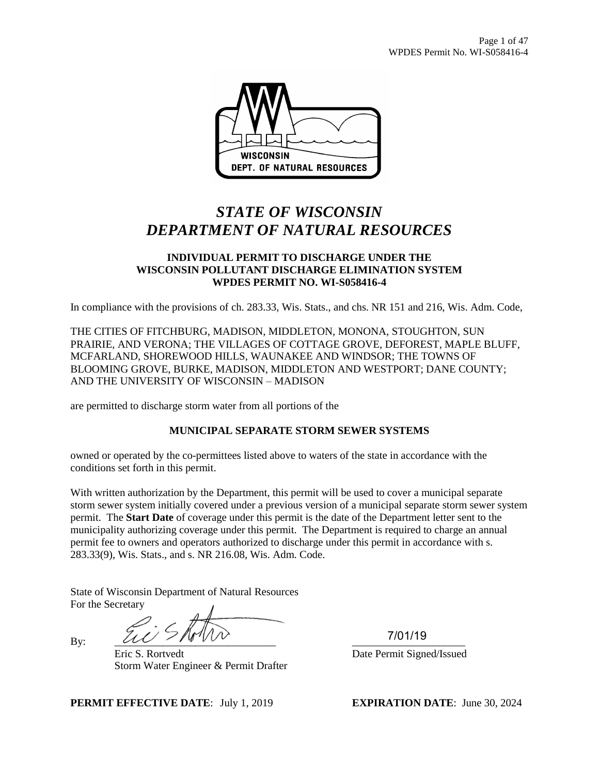

# *STATE OF WISCONSIN DEPARTMENT OF NATURAL RESOURCES*

#### **INDIVIDUAL PERMIT TO DISCHARGE UNDER THE WISCONSIN POLLUTANT DISCHARGE ELIMINATION SYSTEM WPDES PERMIT NO. WI-S058416-4**

In compliance with the provisions of ch. 283.33, Wis. Stats., and chs. NR 151 and 216, Wis. Adm. Code,

THE CITIES OF FITCHBURG, MADISON, MIDDLETON, MONONA, STOUGHTON, SUN PRAIRIE, AND VERONA; THE VILLAGES OF COTTAGE GROVE, DEFOREST, MAPLE BLUFF, MCFARLAND, SHOREWOOD HILLS, WAUNAKEE AND WINDSOR; THE TOWNS OF BLOOMING GROVE, BURKE, MADISON, MIDDLETON AND WESTPORT; DANE COUNTY; AND THE UNIVERSITY OF WISCONSIN – MADISON

are permitted to discharge storm water from all portions of the

## **MUNICIPAL SEPARATE STORM SEWER SYSTEMS**

owned or operated by the co-permittees listed above to waters of the state in accordance with the conditions set forth in this permit.

With written authorization by the Department, this permit will be used to cover a municipal separate storm sewer system initially covered under a previous version of a municipal separate storm sewer system permit. The **Start Date** of coverage under this permit is the date of the Department letter sent to the municipality authorizing coverage under this permit. The Department is required to charge an annual permit fee to owners and operators authorized to discharge under this permit in accordance with s. 283.33(9), Wis. Stats., and s. NR 216.08, Wis. Adm. Code.

State of Wisconsin Department of Natural Resources For the Secretary

By:  $\underline{\mathcal{U}} \underline{\mathcal{U}}$ Eric S. Rortvedt Date Permit Signed/Issued Storm Water Engineer & Permit Drafter

7/01/19

**PERMIT EFFECTIVE DATE**: July 1, 2019 **EXPIRATION DATE**: June 30, 2024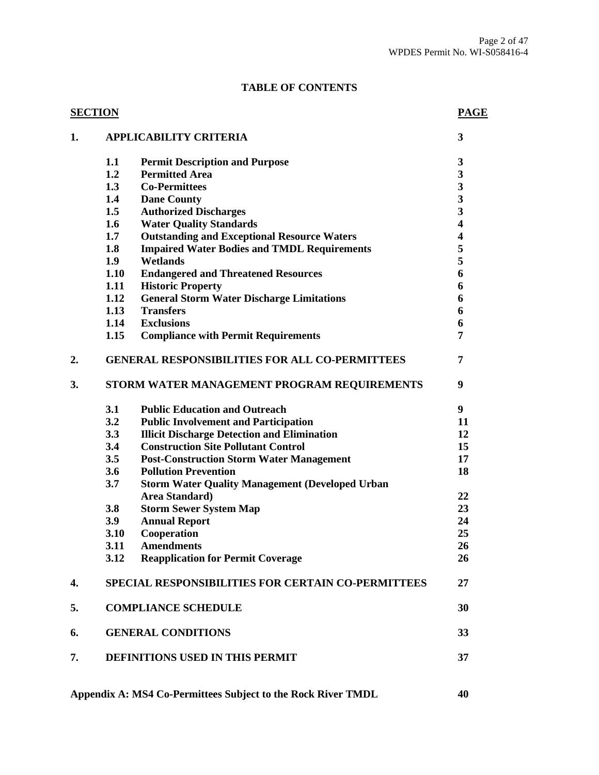# **TABLE OF CONTENTS**

|    | <b>SECTION</b>                              |                                                           | <b>PAGE</b>             |  |
|----|---------------------------------------------|-----------------------------------------------------------|-------------------------|--|
| 1. |                                             | <b>APPLICABILITY CRITERIA</b>                             | 3                       |  |
|    | 1.1                                         | <b>Permit Description and Purpose</b>                     | 3                       |  |
|    | 1.2                                         | <b>Permitted Area</b>                                     | 3                       |  |
|    | 1.3                                         | <b>Co-Permittees</b>                                      | $\overline{\mathbf{3}}$ |  |
|    | 1.4                                         | <b>Dane County</b>                                        | $\overline{\mathbf{3}}$ |  |
|    | 1.5                                         | <b>Authorized Discharges</b>                              | $\overline{\mathbf{3}}$ |  |
|    | 1.6                                         | <b>Water Quality Standards</b>                            | $\overline{\mathbf{4}}$ |  |
|    | 1.7                                         | <b>Outstanding and Exceptional Resource Waters</b>        | $\overline{\mathbf{4}}$ |  |
|    | 1.8                                         | <b>Impaired Water Bodies and TMDL Requirements</b>        | 5                       |  |
|    | 1.9                                         | Wetlands                                                  | 5                       |  |
|    | 1.10                                        | <b>Endangered and Threatened Resources</b>                | 6                       |  |
|    | 1.11                                        | <b>Historic Property</b>                                  | 6                       |  |
|    | 1.12                                        | <b>General Storm Water Discharge Limitations</b>          | 6                       |  |
|    | 1.13                                        | <b>Transfers</b>                                          | 6                       |  |
|    | 1.14                                        | <b>Exclusions</b>                                         | 6                       |  |
|    | 1.15                                        | <b>Compliance with Permit Requirements</b>                | 7                       |  |
| 2. |                                             | <b>GENERAL RESPONSIBILITIES FOR ALL CO-PERMITTEES</b>     | 7                       |  |
| 3. | STORM WATER MANAGEMENT PROGRAM REQUIREMENTS |                                                           |                         |  |
|    | 3.1                                         | <b>Public Education and Outreach</b>                      | 9                       |  |
|    | 3.2                                         | <b>Public Involvement and Participation</b>               | 11                      |  |
|    | 3.3                                         | <b>Illicit Discharge Detection and Elimination</b>        | 12                      |  |
|    | 3.4                                         | <b>Construction Site Pollutant Control</b>                | 15                      |  |
|    | 3.5                                         | <b>Post-Construction Storm Water Management</b>           | 17                      |  |
|    | 3.6                                         | <b>Pollution Prevention</b>                               | 18                      |  |
|    | 3.7                                         | <b>Storm Water Quality Management (Developed Urban</b>    |                         |  |
|    |                                             | Area Standard)                                            | 22                      |  |
|    | 3.8                                         | <b>Storm Sewer System Map</b>                             | 23                      |  |
|    | 3.9                                         | <b>Annual Report</b>                                      | 24                      |  |
|    | 3.10                                        | Cooperation                                               | 25                      |  |
|    | 3.11                                        | <b>Amendments</b>                                         | 26                      |  |
|    | 3.12                                        | <b>Reapplication for Permit Coverage</b>                  | 26                      |  |
| 4. |                                             | <b>SPECIAL RESPONSIBILITIES FOR CERTAIN CO-PERMITTEES</b> | 27                      |  |
| 5. |                                             | <b>COMPLIANCE SCHEDULE</b>                                | 30                      |  |
| 6. | <b>GENERAL CONDITIONS</b>                   |                                                           | 33                      |  |
| 7. |                                             | DEFINITIONS USED IN THIS PERMIT                           | 37                      |  |
|    |                                             |                                                           |                         |  |

**Appendix A: MS4 Co-Permittees Subject to the Rock River TMDL 40**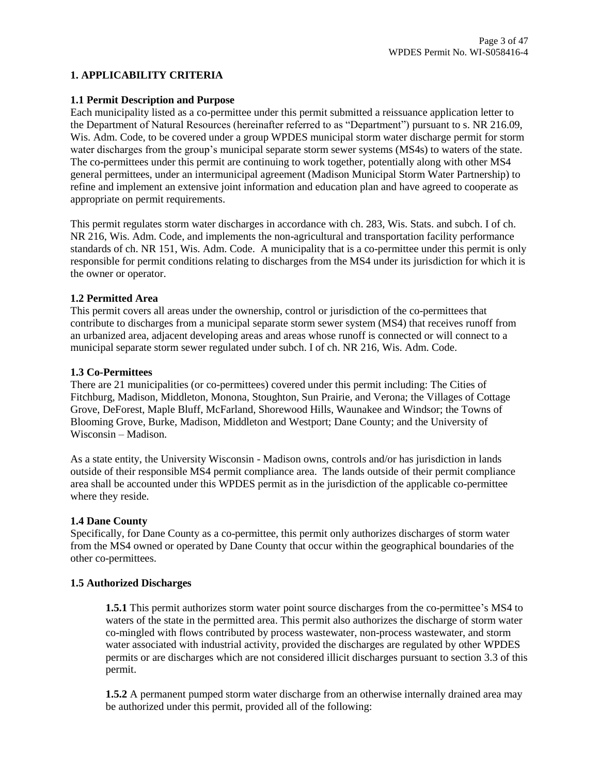## **1. APPLICABILITY CRITERIA**

#### **1.1 Permit Description and Purpose**

Each municipality listed as a co-permittee under this permit submitted a reissuance application letter to the Department of Natural Resources (hereinafter referred to as "Department") pursuant to s. NR 216.09, Wis. Adm. Code, to be covered under a group WPDES municipal storm water discharge permit for storm water discharges from the group's municipal separate storm sewer systems (MS4s) to waters of the state. The co-permittees under this permit are continuing to work together, potentially along with other MS4 general permittees, under an intermunicipal agreement (Madison Municipal Storm Water Partnership) to refine and implement an extensive joint information and education plan and have agreed to cooperate as appropriate on permit requirements.

This permit regulates storm water discharges in accordance with ch. 283, Wis. Stats. and subch. I of ch. NR 216, Wis. Adm. Code, and implements the non-agricultural and transportation facility performance standards of ch. NR 151, Wis. Adm. Code. A municipality that is a co-permittee under this permit is only responsible for permit conditions relating to discharges from the MS4 under its jurisdiction for which it is the owner or operator.

#### **1.2 Permitted Area**

This permit covers all areas under the ownership, control or jurisdiction of the co-permittees that contribute to discharges from a municipal separate storm sewer system (MS4) that receives runoff from an urbanized area, adjacent developing areas and areas whose runoff is connected or will connect to a municipal separate storm sewer regulated under subch. I of ch. NR 216, Wis. Adm. Code.

#### **1.3 Co-Permittees**

There are 21 municipalities (or co-permittees) covered under this permit including: The Cities of Fitchburg, Madison, Middleton, Monona, Stoughton, Sun Prairie, and Verona; the Villages of Cottage Grove, DeForest, Maple Bluff, McFarland, Shorewood Hills, Waunakee and Windsor; the Towns of Blooming Grove, Burke, Madison, Middleton and Westport; Dane County; and the University of Wisconsin – Madison.

As a state entity, the University Wisconsin - Madison owns, controls and/or has jurisdiction in lands outside of their responsible MS4 permit compliance area. The lands outside of their permit compliance area shall be accounted under this WPDES permit as in the jurisdiction of the applicable co-permittee where they reside.

#### **1.4 Dane County**

Specifically, for Dane County as a co-permittee, this permit only authorizes discharges of storm water from the MS4 owned or operated by Dane County that occur within the geographical boundaries of the other co-permittees.

#### **1.5 Authorized Discharges**

**1.5.1** This permit authorizes storm water point source discharges from the co-permittee's MS4 to waters of the state in the permitted area. This permit also authorizes the discharge of storm water co-mingled with flows contributed by process wastewater, non-process wastewater, and storm water associated with industrial activity, provided the discharges are regulated by other WPDES permits or are discharges which are not considered illicit discharges pursuant to section 3.3 of this permit.

**1.5.2** A permanent pumped storm water discharge from an otherwise internally drained area may be authorized under this permit, provided all of the following: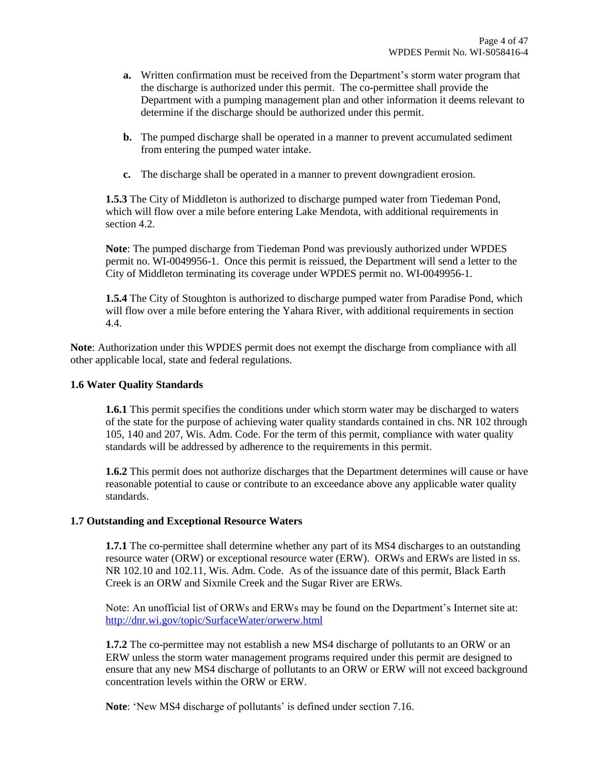- **a.** Written confirmation must be received from the Department's storm water program that the discharge is authorized under this permit. The co-permittee shall provide the Department with a pumping management plan and other information it deems relevant to determine if the discharge should be authorized under this permit.
- **b.** The pumped discharge shall be operated in a manner to prevent accumulated sediment from entering the pumped water intake.
- **c.** The discharge shall be operated in a manner to prevent downgradient erosion.

**1.5.3** The City of Middleton is authorized to discharge pumped water from Tiedeman Pond, which will flow over a mile before entering Lake Mendota, with additional requirements in section 4.2.

**Note**: The pumped discharge from Tiedeman Pond was previously authorized under WPDES permit no. WI-0049956-1. Once this permit is reissued, the Department will send a letter to the City of Middleton terminating its coverage under WPDES permit no. WI-0049956-1.

**1.5.4** The City of Stoughton is authorized to discharge pumped water from Paradise Pond, which will flow over a mile before entering the Yahara River, with additional requirements in section 4.4.

**Note**: Authorization under this WPDES permit does not exempt the discharge from compliance with all other applicable local, state and federal regulations.

### **1.6 Water Quality Standards**

**1.6.1** This permit specifies the conditions under which storm water may be discharged to waters of the state for the purpose of achieving water quality standards contained in chs. NR 102 through 105, 140 and 207, Wis. Adm. Code. For the term of this permit, compliance with water quality standards will be addressed by adherence to the requirements in this permit.

**1.6.2** This permit does not authorize discharges that the Department determines will cause or have reasonable potential to cause or contribute to an exceedance above any applicable water quality standards.

#### **1.7 Outstanding and Exceptional Resource Waters**

**1.7.1** The co-permittee shall determine whether any part of its MS4 discharges to an outstanding resource water (ORW) or exceptional resource water (ERW). ORWs and ERWs are listed in ss. NR 102.10 and 102.11, Wis. Adm. Code. As of the issuance date of this permit, Black Earth Creek is an ORW and Sixmile Creek and the Sugar River are ERWs.

Note: An unofficial list of ORWs and ERWs may be found on the Department's Internet site at: <http://dnr.wi.gov/topic/SurfaceWater/orwerw.html>

**1.7.2** The co-permittee may not establish a new MS4 discharge of pollutants to an ORW or an ERW unless the storm water management programs required under this permit are designed to ensure that any new MS4 discharge of pollutants to an ORW or ERW will not exceed background concentration levels within the ORW or ERW.

**Note**: 'New MS4 discharge of pollutants' is defined under section 7.16.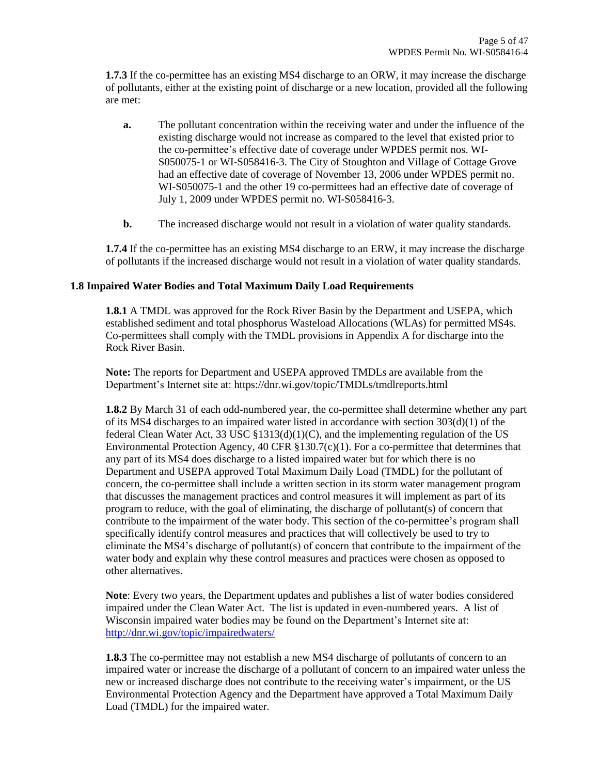**1.7.3** If the co-permittee has an existing MS4 discharge to an ORW, it may increase the discharge of pollutants, either at the existing point of discharge or a new location, provided all the following are met:

- **a.** The pollutant concentration within the receiving water and under the influence of the existing discharge would not increase as compared to the level that existed prior to the co-permittee's effective date of coverage under WPDES permit nos. WI-S050075-1 or WI-S058416-3. The City of Stoughton and Village of Cottage Grove had an effective date of coverage of November 13, 2006 under WPDES permit no. WI-S050075-1 and the other 19 co-permittees had an effective date of coverage of July 1, 2009 under WPDES permit no. WI-S058416-3.
- **b.** The increased discharge would not result in a violation of water quality standards.

**1.7.4** If the co-permittee has an existing MS4 discharge to an ERW, it may increase the discharge of pollutants if the increased discharge would not result in a violation of water quality standards.

## **1.8 Impaired Water Bodies and Total Maximum Daily Load Requirements**

**1.8.1** A TMDL was approved for the Rock River Basin by the Department and USEPA, which established sediment and total phosphorus Wasteload Allocations (WLAs) for permitted MS4s. Co-permittees shall comply with the TMDL provisions in Appendix A for discharge into the Rock River Basin.

**Note:** The reports for Department and USEPA approved TMDLs are available from the Department's Internet site at:<https://dnr.wi.gov/topic/TMDLs/tmdlreports.html>

**1.8.2** By March 31 of each odd-numbered year, the co-permittee shall determine whether any part of its MS4 discharges to an impaired water listed in accordance with section 303(d)(1) of the federal Clean Water Act, 33 USC  $\S$ 1313(d)(1)(C), and the implementing regulation of the US Environmental Protection Agency, 40 CFR  $\S$ 130.7(c)(1). For a co-permittee that determines that any part of its MS4 does discharge to a listed impaired water but for which there is no Department and USEPA approved Total Maximum Daily Load (TMDL) for the pollutant of concern, the co-permittee shall include a written section in its storm water management program that discusses the management practices and control measures it will implement as part of its program to reduce, with the goal of eliminating, the discharge of pollutant(s) of concern that contribute to the impairment of the water body. This section of the co-permittee's program shall specifically identify control measures and practices that will collectively be used to try to eliminate the MS4's discharge of pollutant(s) of concern that contribute to the impairment of the water body and explain why these control measures and practices were chosen as opposed to other alternatives.

**Note**: Every two years, the Department updates and publishes a list of water bodies considered impaired under the Clean Water Act. The list is updated in even-numbered years. A list of Wisconsin impaired water bodies may be found on the Department's Internet site at: <http://dnr.wi.gov/topic/impairedwaters/>

**1.8.3** The co-permittee may not establish a new MS4 discharge of pollutants of concern to an impaired water or increase the discharge of a pollutant of concern to an impaired water unless the new or increased discharge does not contribute to the receiving water's impairment, or the US Environmental Protection Agency and the Department have approved a Total Maximum Daily Load (TMDL) for the impaired water.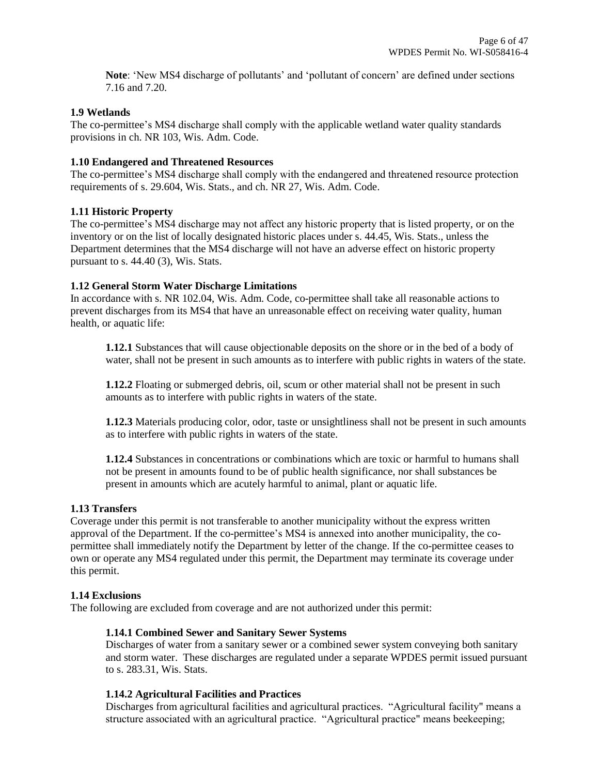**Note**: 'New MS4 discharge of pollutants' and 'pollutant of concern' are defined under sections 7.16 and 7.20.

### **1.9 Wetlands**

The co-permittee's MS4 discharge shall comply with the applicable wetland water quality standards provisions in ch. NR 103, Wis. Adm. Code.

### **1.10 Endangered and Threatened Resources**

The co-permittee's MS4 discharge shall comply with the endangered and threatened resource protection requirements of s. 29.604, Wis. Stats., and ch. NR 27, Wis. Adm. Code.

## **1.11 Historic Property**

The co-permittee's MS4 discharge may not affect any historic property that is listed property, or on the inventory or on the list of locally designated historic places under s. 44.45, Wis. Stats., unless the Department determines that the MS4 discharge will not have an adverse effect on historic property pursuant to s. 44.40 (3), Wis. Stats.

## **1.12 General Storm Water Discharge Limitations**

In accordance with s. NR 102.04, Wis. Adm. Code, co-permittee shall take all reasonable actions to prevent discharges from its MS4 that have an unreasonable effect on receiving water quality, human health, or aquatic life:

**1.12.1** Substances that will cause objectionable deposits on the shore or in the bed of a body of water, shall not be present in such amounts as to interfere with public rights in waters of the state.

**1.12.2** Floating or submerged debris, oil, scum or other material shall not be present in such amounts as to interfere with public rights in waters of the state.

**1.12.3** Materials producing color, odor, taste or unsightliness shall not be present in such amounts as to interfere with public rights in waters of the state.

**1.12.4** Substances in concentrations or combinations which are toxic or harmful to humans shall not be present in amounts found to be of public health significance, nor shall substances be present in amounts which are acutely harmful to animal, plant or aquatic life.

#### **1.13 Transfers**

Coverage under this permit is not transferable to another municipality without the express written approval of the Department. If the co-permittee's MS4 is annexed into another municipality, the copermittee shall immediately notify the Department by letter of the change. If the co-permittee ceases to own or operate any MS4 regulated under this permit, the Department may terminate its coverage under this permit.

#### **1.14 Exclusions**

The following are excluded from coverage and are not authorized under this permit:

#### **1.14.1 Combined Sewer and Sanitary Sewer Systems**

Discharges of water from a sanitary sewer or a combined sewer system conveying both sanitary and storm water. These discharges are regulated under a separate WPDES permit issued pursuant to s. 283.31, Wis. Stats.

# **1.14.2 Agricultural Facilities and Practices**

Discharges from agricultural facilities and agricultural practices. "Agricultural facility" means a structure associated with an agricultural practice. "Agricultural practice" means beekeeping;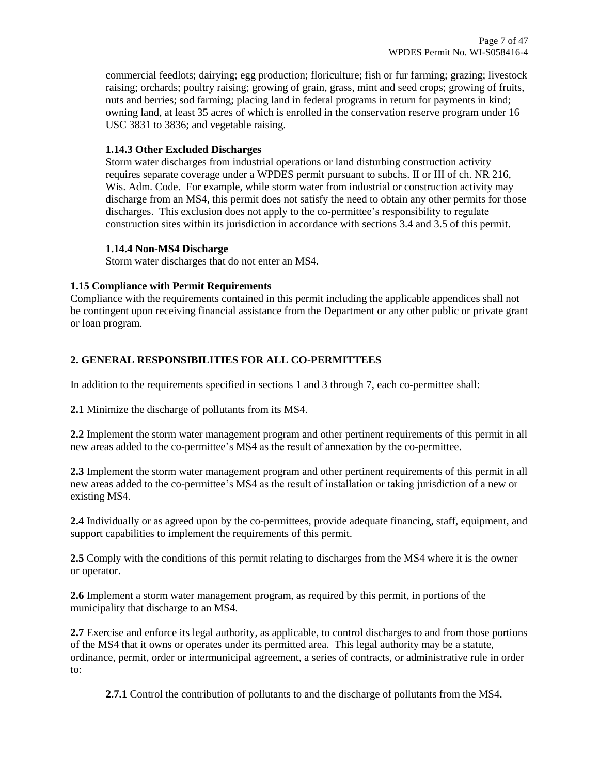commercial feedlots; dairying; egg production; floriculture; fish or fur farming; grazing; livestock raising; orchards; poultry raising; growing of grain, grass, mint and seed crops; growing of fruits, nuts and berries; sod farming; placing land in federal programs in return for payments in kind; owning land, at least 35 acres of which is enrolled in the conservation reserve program under 16 USC 3831 to 3836; and vegetable raising.

# **1.14.3 Other Excluded Discharges**

Storm water discharges from industrial operations or land disturbing construction activity requires separate coverage under a WPDES permit pursuant to subchs. II or III of ch. NR 216, Wis. Adm. Code. For example, while storm water from industrial or construction activity may discharge from an MS4, this permit does not satisfy the need to obtain any other permits for those discharges. This exclusion does not apply to the co-permittee's responsibility to regulate construction sites within its jurisdiction in accordance with sections 3.4 and 3.5 of this permit.

#### **1.14.4 Non-MS4 Discharge**

Storm water discharges that do not enter an MS4.

# **1.15 Compliance with Permit Requirements**

Compliance with the requirements contained in this permit including the applicable appendices shall not be contingent upon receiving financial assistance from the Department or any other public or private grant or loan program.

# **2. GENERAL RESPONSIBILITIES FOR ALL CO-PERMITTEES**

In addition to the requirements specified in sections 1 and 3 through 7, each co-permittee shall:

**2.1** Minimize the discharge of pollutants from its MS4.

**2.2** Implement the storm water management program and other pertinent requirements of this permit in all new areas added to the co-permittee's MS4 as the result of annexation by the co-permittee.

**2.3** Implement the storm water management program and other pertinent requirements of this permit in all new areas added to the co-permittee's MS4 as the result of installation or taking jurisdiction of a new or existing MS4.

**2.4** Individually or as agreed upon by the co-permittees, provide adequate financing, staff, equipment, and support capabilities to implement the requirements of this permit.

**2.5** Comply with the conditions of this permit relating to discharges from the MS4 where it is the owner or operator.

**2.6** Implement a storm water management program, as required by this permit, in portions of the municipality that discharge to an MS4.

**2.7** Exercise and enforce its legal authority, as applicable, to control discharges to and from those portions of the MS4 that it owns or operates under its permitted area. This legal authority may be a statute, ordinance, permit, order or intermunicipal agreement, a series of contracts, or administrative rule in order to:

**2.7.1** Control the contribution of pollutants to and the discharge of pollutants from the MS4.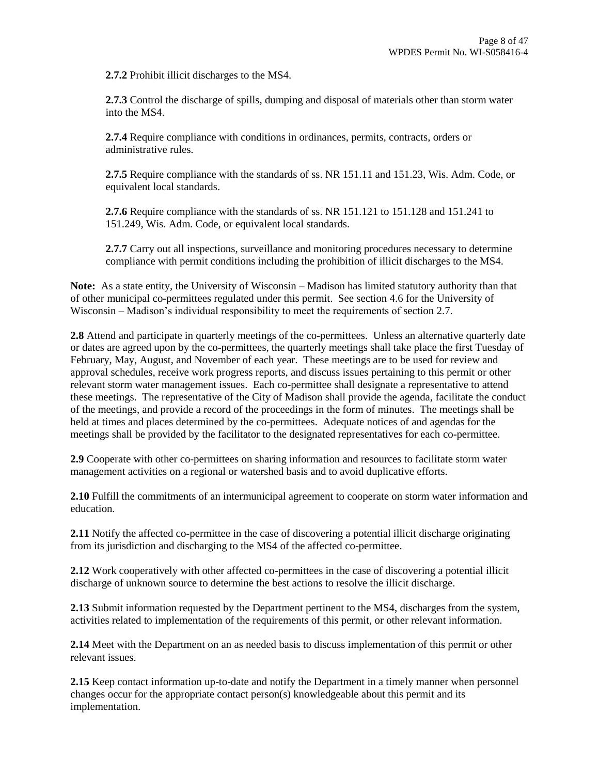**2.7.2** Prohibit illicit discharges to the MS4.

**2.7.3** Control the discharge of spills, dumping and disposal of materials other than storm water into the MS4.

**2.7.4** Require compliance with conditions in ordinances, permits, contracts, orders or administrative rules.

**2.7.5** Require compliance with the standards of ss. NR 151.11 and 151.23, Wis. Adm. Code, or equivalent local standards.

**2.7.6** Require compliance with the standards of ss. NR 151.121 to 151.128 and 151.241 to 151.249, Wis. Adm. Code, or equivalent local standards.

**2.7.7** Carry out all inspections, surveillance and monitoring procedures necessary to determine compliance with permit conditions including the prohibition of illicit discharges to the MS4.

**Note:** As a state entity, the University of Wisconsin – Madison has limited statutory authority than that of other municipal co-permittees regulated under this permit. See section 4.6 for the University of Wisconsin – Madison's individual responsibility to meet the requirements of section 2.7.

**2.8** Attend and participate in quarterly meetings of the co-permittees. Unless an alternative quarterly date or dates are agreed upon by the co-permittees, the quarterly meetings shall take place the first Tuesday of February, May, August, and November of each year. These meetings are to be used for review and approval schedules, receive work progress reports, and discuss issues pertaining to this permit or other relevant storm water management issues. Each co-permittee shall designate a representative to attend these meetings. The representative of the City of Madison shall provide the agenda, facilitate the conduct of the meetings, and provide a record of the proceedings in the form of minutes. The meetings shall be held at times and places determined by the co-permittees. Adequate notices of and agendas for the meetings shall be provided by the facilitator to the designated representatives for each co-permittee.

**2.9** Cooperate with other co-permittees on sharing information and resources to facilitate storm water management activities on a regional or watershed basis and to avoid duplicative efforts.

**2.10** Fulfill the commitments of an intermunicipal agreement to cooperate on storm water information and education.

**2.11** Notify the affected co-permittee in the case of discovering a potential illicit discharge originating from its jurisdiction and discharging to the MS4 of the affected co-permittee.

**2.12** Work cooperatively with other affected co-permittees in the case of discovering a potential illicit discharge of unknown source to determine the best actions to resolve the illicit discharge.

**2.13** Submit information requested by the Department pertinent to the MS4, discharges from the system, activities related to implementation of the requirements of this permit, or other relevant information.

**2.14** Meet with the Department on an as needed basis to discuss implementation of this permit or other relevant issues.

**2.15** Keep contact information up-to-date and notify the Department in a timely manner when personnel changes occur for the appropriate contact person(s) knowledgeable about this permit and its implementation.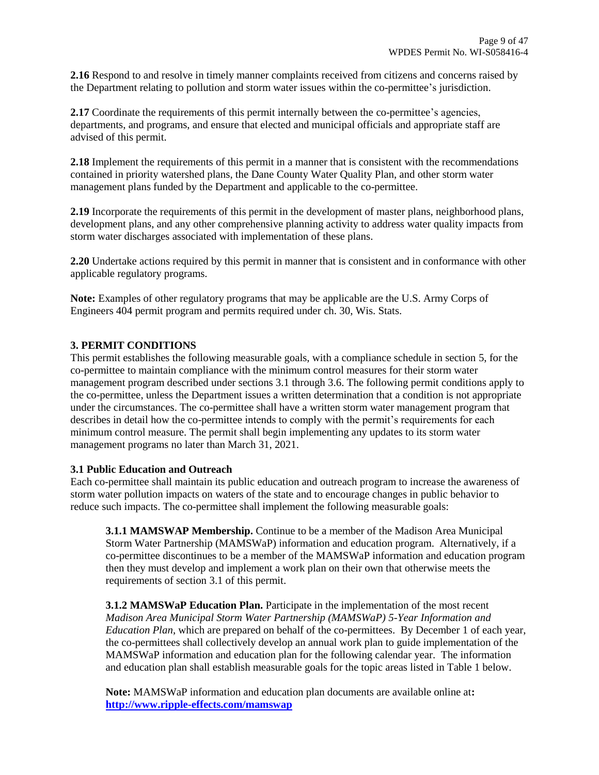**2.16** Respond to and resolve in timely manner complaints received from citizens and concerns raised by the Department relating to pollution and storm water issues within the co-permittee's jurisdiction.

2.17 Coordinate the requirements of this permit internally between the co-permittee's agencies, departments, and programs, and ensure that elected and municipal officials and appropriate staff are advised of this permit.

**2.18** Implement the requirements of this permit in a manner that is consistent with the recommendations contained in priority watershed plans, the Dane County Water Quality Plan, and other storm water management plans funded by the Department and applicable to the co-permittee.

**2.19** Incorporate the requirements of this permit in the development of master plans, neighborhood plans, development plans, and any other comprehensive planning activity to address water quality impacts from storm water discharges associated with implementation of these plans.

**2.20** Undertake actions required by this permit in manner that is consistent and in conformance with other applicable regulatory programs.

**Note:** Examples of other regulatory programs that may be applicable are the U.S. Army Corps of Engineers 404 permit program and permits required under ch. 30, Wis. Stats.

## **3. PERMIT CONDITIONS**

This permit establishes the following measurable goals, with a compliance schedule in section 5, for the co-permittee to maintain compliance with the minimum control measures for their storm water management program described under sections 3.1 through 3.6. The following permit conditions apply to the co-permittee, unless the Department issues a written determination that a condition is not appropriate under the circumstances. The co-permittee shall have a written storm water management program that describes in detail how the co-permittee intends to comply with the permit's requirements for each minimum control measure. The permit shall begin implementing any updates to its storm water management programs no later than March 31, 2021.

#### **3.1 Public Education and Outreach**

Each co-permittee shall maintain its public education and outreach program to increase the awareness of storm water pollution impacts on waters of the state and to encourage changes in public behavior to reduce such impacts. The co-permittee shall implement the following measurable goals:

**3.1.1 MAMSWAP Membership.** Continue to be a member of the Madison Area Municipal Storm Water Partnership (MAMSWaP) information and education program. Alternatively, if a co-permittee discontinues to be a member of the MAMSWaP information and education program then they must develop and implement a work plan on their own that otherwise meets the requirements of section 3.1 of this permit.

**3.1.2 MAMSWaP Education Plan.** Participate in the implementation of the most recent *Madison Area Municipal Storm Water Partnership (MAMSWaP) 5-Year Information and Education Plan*, which are prepared on behalf of the co-permittees. By December 1 of each year, the co-permittees shall collectively develop an annual work plan to guide implementation of the MAMSWaP information and education plan for the following calendar year. The information and education plan shall establish measurable goals for the topic areas listed in Table 1 below.

**Note:** MAMSWaP information and education plan documents are available online at**: <http://www.ripple-effects.com/mamswap>**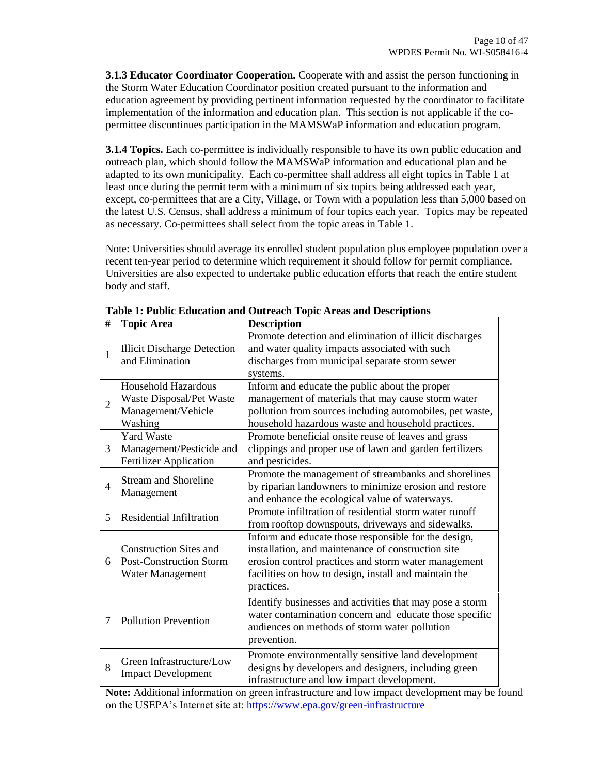**3.1.3 Educator Coordinator Cooperation.** Cooperate with and assist the person functioning in the Storm Water Education Coordinator position created pursuant to the information and education agreement by providing pertinent information requested by the coordinator to facilitate implementation of the information and education plan. This section is not applicable if the copermittee discontinues participation in the MAMSWaP information and education program.

**3.1.4 Topics.** Each co-permittee is individually responsible to have its own public education and outreach plan, which should follow the MAMSWaP information and educational plan and be adapted to its own municipality. Each co-permittee shall address all eight topics in Table 1 at least once during the permit term with a minimum of six topics being addressed each year, except, co-permittees that are a City, Village, or Town with a population less than 5,000 based on the latest U.S. Census, shall address a minimum of four topics each year. Topics may be repeated as necessary. Co-permittees shall select from the topic areas in [Table 1.](#page-9-0)

Note: Universities should average its enrolled student population plus employee population over a recent ten-year period to determine which requirement it should follow for permit compliance. Universities are also expected to undertake public education efforts that reach the entire student body and staff.

<span id="page-9-0"></span>

| #              | <b>Topic Area</b>                                                                       | <b>Description</b>                                                                                                                                                                                                                        |
|----------------|-----------------------------------------------------------------------------------------|-------------------------------------------------------------------------------------------------------------------------------------------------------------------------------------------------------------------------------------------|
| $\mathbf{1}$   | <b>Illicit Discharge Detection</b><br>and Elimination                                   | Promote detection and elimination of illicit discharges<br>and water quality impacts associated with such<br>discharges from municipal separate storm sewer<br>systems.                                                                   |
| $\overline{2}$ | <b>Household Hazardous</b><br>Waste Disposal/Pet Waste<br>Management/Vehicle<br>Washing | Inform and educate the public about the proper<br>management of materials that may cause storm water<br>pollution from sources including automobiles, pet waste,<br>household hazardous waste and household practices.                    |
| 3              | <b>Yard Waste</b><br>Management/Pesticide and<br><b>Fertilizer Application</b>          | Promote beneficial onsite reuse of leaves and grass<br>clippings and proper use of lawn and garden fertilizers<br>and pesticides.                                                                                                         |
| $\overline{4}$ | <b>Stream and Shoreline</b><br>Management                                               | Promote the management of streambanks and shorelines<br>by riparian landowners to minimize erosion and restore<br>and enhance the ecological value of waterways.                                                                          |
| 5              | <b>Residential Infiltration</b>                                                         | Promote infiltration of residential storm water runoff<br>from rooftop downspouts, driveways and sidewalks.                                                                                                                               |
| 6              | <b>Construction Sites and</b><br><b>Post-Construction Storm</b><br>Water Management     | Inform and educate those responsible for the design,<br>installation, and maintenance of construction site<br>erosion control practices and storm water management<br>facilities on how to design, install and maintain the<br>practices. |
| 7              | <b>Pollution Prevention</b>                                                             | Identify businesses and activities that may pose a storm<br>water contamination concern and educate those specific<br>audiences on methods of storm water pollution<br>prevention.                                                        |
| 8              | Green Infrastructure/Low<br><b>Impact Development</b>                                   | Promote environmentally sensitive land development<br>designs by developers and designers, including green<br>infrastructure and low impact development.                                                                                  |

**Table 1: Public Education and Outreach Topic Areas and Descriptions**

**Note:** Additional information on green infrastructure and low impact development may be found on the USEPA's Internet site at:<https://www.epa.gov/green-infrastructure>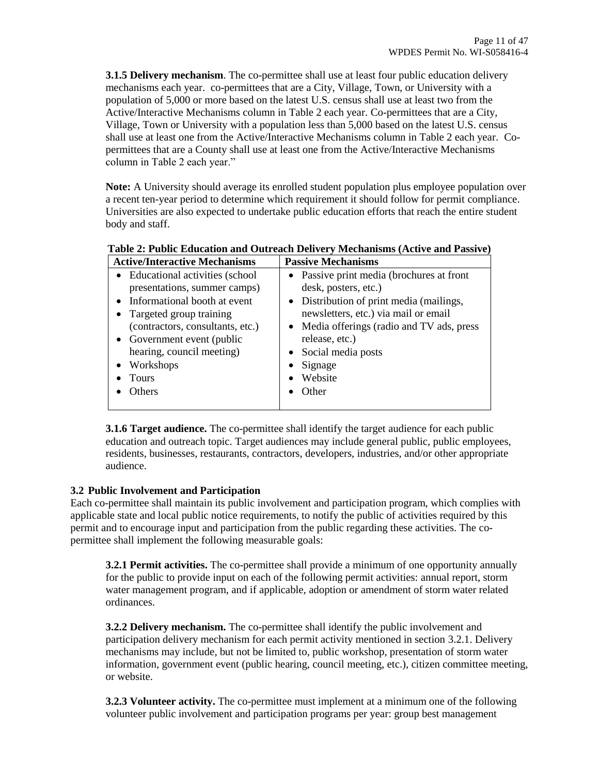**3.1.5 Delivery mechanism**. The co-permittee shall use at least four public education delivery mechanisms each year. co-permittees that are a City, Village, Town, or University with a population of 5,000 or more based on the latest U.S. census shall use at least two from the Active/Interactive Mechanisms column in Table 2 each year. Co-permittees that are a City, Village, Town or University with a population less than 5,000 based on the latest U.S. census shall use at least one from the Active/Interactive Mechanisms column in Table 2 each year. Copermittees that are a County shall use at least one from the Active/Interactive Mechanisms column in Table 2 each year."

**Note:** A University should average its enrolled student population plus employee population over a recent ten-year period to determine which requirement it should follow for permit compliance. Universities are also expected to undertake public education efforts that reach the entire student body and staff.

| <b>Active/Interactive Mechanisms</b>                                                                                                                                                                                                                          | <b>Passive Mechanisms</b>                                                                                                                                                                                                                                                                                 |
|---------------------------------------------------------------------------------------------------------------------------------------------------------------------------------------------------------------------------------------------------------------|-----------------------------------------------------------------------------------------------------------------------------------------------------------------------------------------------------------------------------------------------------------------------------------------------------------|
| Educational activities (school<br>presentations, summer camps)<br>Informational booth at event<br>Targeted group training<br>(contractors, consultants, etc.)<br>Government event (public<br>hearing, council meeting)<br>Workshops<br><b>Tours</b><br>Others | • Passive print media (brochures at front<br>desk, posters, etc.)<br>• Distribution of print media (mailings,<br>newsletters, etc.) via mail or email<br>• Media offerings (radio and TV ads, press<br>release, etc.)<br>Social media posts<br>$\bullet$<br>Signage<br>٠<br>Website<br>$\bullet$<br>Other |
|                                                                                                                                                                                                                                                               |                                                                                                                                                                                                                                                                                                           |

**Table 2: Public Education and Outreach Delivery Mechanisms (Active and Passive)**

**3.1.6 Target audience.** The co-permittee shall identify the target audience for each public education and outreach topic. Target audiences may include general public, public employees, residents, businesses, restaurants, contractors, developers, industries, and/or other appropriate audience.

# **3.2 Public Involvement and Participation**

Each co-permittee shall maintain its public involvement and participation program, which complies with applicable state and local public notice requirements, to notify the public of activities required by this permit and to encourage input and participation from the public regarding these activities. The copermittee shall implement the following measurable goals:

**3.2.1 Permit activities.** The co-permittee shall provide a minimum of one opportunity annually for the public to provide input on each of the following permit activities: annual report, storm water management program, and if applicable, adoption or amendment of storm water related ordinances.

**3.2.2 Delivery mechanism.** The co-permittee shall identify the public involvement and participation delivery mechanism for each permit activity mentioned in section 3.2.1. Delivery mechanisms may include, but not be limited to, public workshop, presentation of storm water information, government event (public hearing, council meeting, etc.), citizen committee meeting, or website.

**3.2.3 Volunteer activity.** The co-permittee must implement at a minimum one of the following volunteer public involvement and participation programs per year: group best management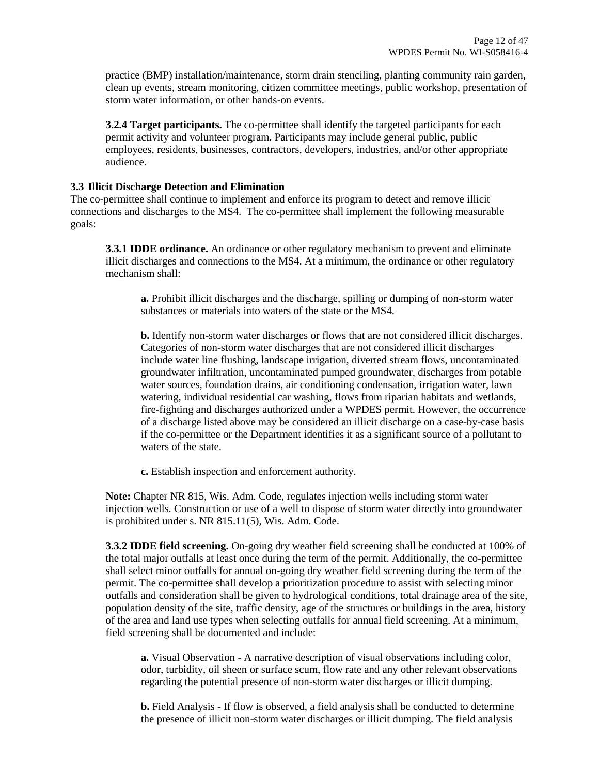practice (BMP) installation/maintenance, storm drain stenciling, planting community rain garden, clean up events, stream monitoring, citizen committee meetings, public workshop, presentation of storm water information, or other hands-on events.

**3.2.4 Target participants.** The co-permittee shall identify the targeted participants for each permit activity and volunteer program. Participants may include general public, public employees, residents, businesses, contractors, developers, industries, and/or other appropriate audience.

#### **3.3 Illicit Discharge Detection and Elimination**

The co-permittee shall continue to implement and enforce its program to detect and remove illicit connections and discharges to the MS4. The co-permittee shall implement the following measurable goals:

**3.3.1 IDDE ordinance.** An ordinance or other regulatory mechanism to prevent and eliminate illicit discharges and connections to the MS4. At a minimum, the ordinance or other regulatory mechanism shall:

**a.** Prohibit illicit discharges and the discharge, spilling or dumping of non-storm water substances or materials into waters of the state or the MS4.

**b.** Identify non-storm water discharges or flows that are not considered illicit discharges. Categories of non-storm water discharges that are not considered illicit discharges include water line flushing, landscape irrigation, diverted stream flows, uncontaminated groundwater infiltration, uncontaminated pumped groundwater, discharges from potable water sources, foundation drains, air conditioning condensation, irrigation water, lawn watering, individual residential car washing, flows from riparian habitats and wetlands, fire-fighting and discharges authorized under a WPDES permit. However, the occurrence of a discharge listed above may be considered an illicit discharge on a case-by-case basis if the co-permittee or the Department identifies it as a significant source of a pollutant to waters of the state.

**c.** Establish inspection and enforcement authority.

**Note:** Chapter NR 815, Wis. Adm. Code, regulates injection wells including storm water injection wells. Construction or use of a well to dispose of storm water directly into groundwater is prohibited under s. NR 815.11(5), Wis. Adm. Code.

**3.3.2 IDDE field screening.** On-going dry weather field screening shall be conducted at 100% of the total major outfalls at least once during the term of the permit. Additionally, the co-permittee shall select minor outfalls for annual on-going dry weather field screening during the term of the permit. The co-permittee shall develop a prioritization procedure to assist with selecting minor outfalls and consideration shall be given to hydrological conditions, total drainage area of the site, population density of the site, traffic density, age of the structures or buildings in the area, history of the area and land use types when selecting outfalls for annual field screening. At a minimum, field screening shall be documented and include:

**a.** Visual Observation - A narrative description of visual observations including color, odor, turbidity, oil sheen or surface scum, flow rate and any other relevant observations regarding the potential presence of non-storm water discharges or illicit dumping.

**b.** Field Analysis - If flow is observed, a field analysis shall be conducted to determine the presence of illicit non-storm water discharges or illicit dumping. The field analysis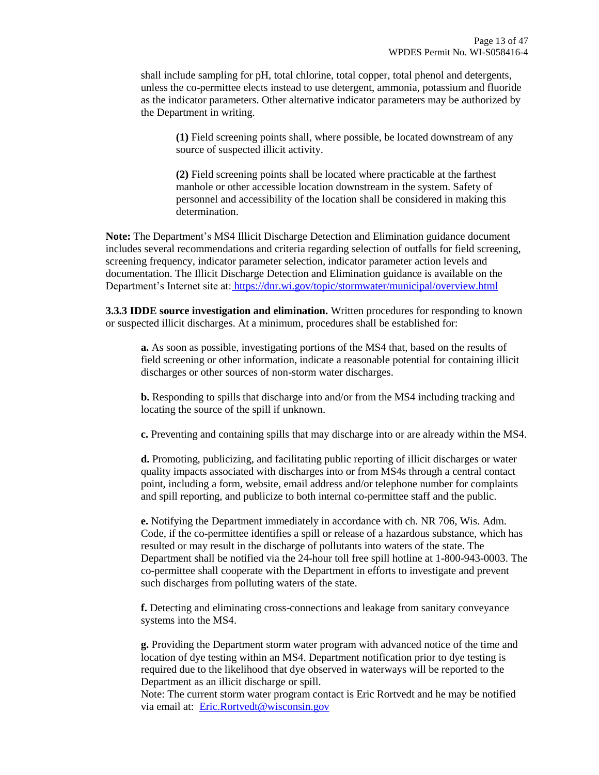shall include sampling for pH, total chlorine, total copper, total phenol and detergents, unless the co-permittee elects instead to use detergent, ammonia, potassium and fluoride as the indicator parameters. Other alternative indicator parameters may be authorized by the Department in writing.

**(1)** Field screening points shall, where possible, be located downstream of any source of suspected illicit activity.

**(2)** Field screening points shall be located where practicable at the farthest manhole or other accessible location downstream in the system. Safety of personnel and accessibility of the location shall be considered in making this determination.

**Note:** The Department's MS4 Illicit Discharge Detection and Elimination guidance document includes several recommendations and criteria regarding selection of outfalls for field screening, screening frequency, indicator parameter selection, indicator parameter action levels and documentation. The Illicit Discharge Detection and Elimination guidance is available on the Department's Internet site at: <https://dnr.wi.gov/topic/stormwater/municipal/overview.html>

**3.3.3 IDDE source investigation and elimination.** Written procedures for responding to known or suspected illicit discharges. At a minimum, procedures shall be established for:

**a.** As soon as possible, investigating portions of the MS4 that, based on the results of field screening or other information, indicate a reasonable potential for containing illicit discharges or other sources of non-storm water discharges.

**b.** Responding to spills that discharge into and/or from the MS4 including tracking and locating the source of the spill if unknown.

**c.** Preventing and containing spills that may discharge into or are already within the MS4.

**d.** Promoting, publicizing, and facilitating public reporting of illicit discharges or water quality impacts associated with discharges into or from MS4s through a central contact point, including a form, website, email address and/or telephone number for complaints and spill reporting, and publicize to both internal co-permittee staff and the public.

**e.** Notifying the Department immediately in accordance with ch. NR 706, Wis. Adm. Code, if the co-permittee identifies a spill or release of a hazardous substance, which has resulted or may result in the discharge of pollutants into waters of the state. The Department shall be notified via the 24-hour toll free spill hotline at 1-800-943-0003. The co-permittee shall cooperate with the Department in efforts to investigate and prevent such discharges from polluting waters of the state.

**f.** Detecting and eliminating cross-connections and leakage from sanitary conveyance systems into the MS4.

**g.** Providing the Department storm water program with advanced notice of the time and location of dye testing within an MS4. Department notification prior to dye testing is required due to the likelihood that dye observed in waterways will be reported to the Department as an illicit discharge or spill.

Note: The current storm water program contact is Eric Rortvedt and he may be notified via email at: [Eric.Rortvedt@wisconsin.gov](mailto:Eric.Rortvedt@wisconsin.gov)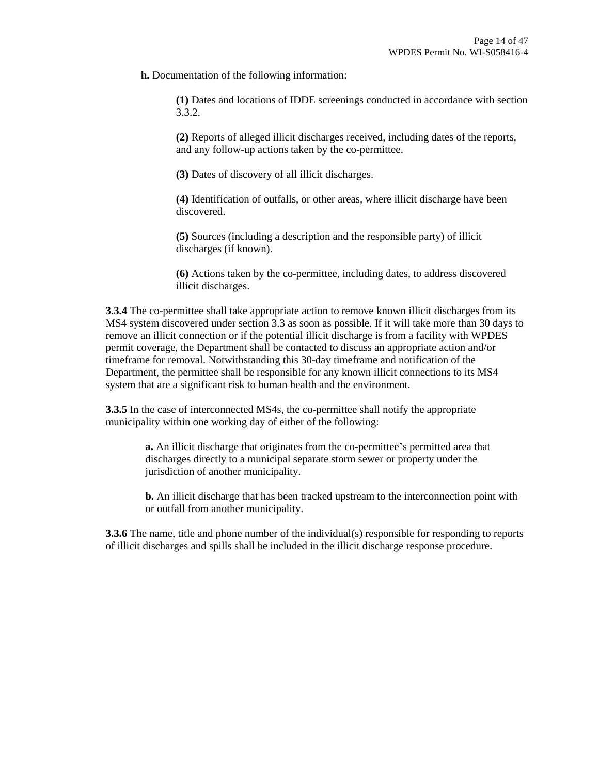**h.** Documentation of the following information:

**(1)** Dates and locations of IDDE screenings conducted in accordance with section 3.3.2.

**(2)** Reports of alleged illicit discharges received, including dates of the reports, and any follow-up actions taken by the co-permittee.

**(3)** Dates of discovery of all illicit discharges.

**(4)** Identification of outfalls, or other areas, where illicit discharge have been discovered.

**(5)** Sources (including a description and the responsible party) of illicit discharges (if known).

**(6)** Actions taken by the co-permittee, including dates, to address discovered illicit discharges.

**3.3.4** The co-permittee shall take appropriate action to remove known illicit discharges from its MS4 system discovered under section 3.3 as soon as possible. If it will take more than 30 days to remove an illicit connection or if the potential illicit discharge is from a facility with WPDES permit coverage, the Department shall be contacted to discuss an appropriate action and/or timeframe for removal. Notwithstanding this 30-day timeframe and notification of the Department, the permittee shall be responsible for any known illicit connections to its MS4 system that are a significant risk to human health and the environment.

**3.3.5** In the case of interconnected MS4s, the co-permittee shall notify the appropriate municipality within one working day of either of the following:

> **a.** An illicit discharge that originates from the co-permittee's permitted area that discharges directly to a municipal separate storm sewer or property under the jurisdiction of another municipality.

**b.** An illicit discharge that has been tracked upstream to the interconnection point with or outfall from another municipality.

**3.3.6** The name, title and phone number of the individual(s) responsible for responding to reports of illicit discharges and spills shall be included in the illicit discharge response procedure.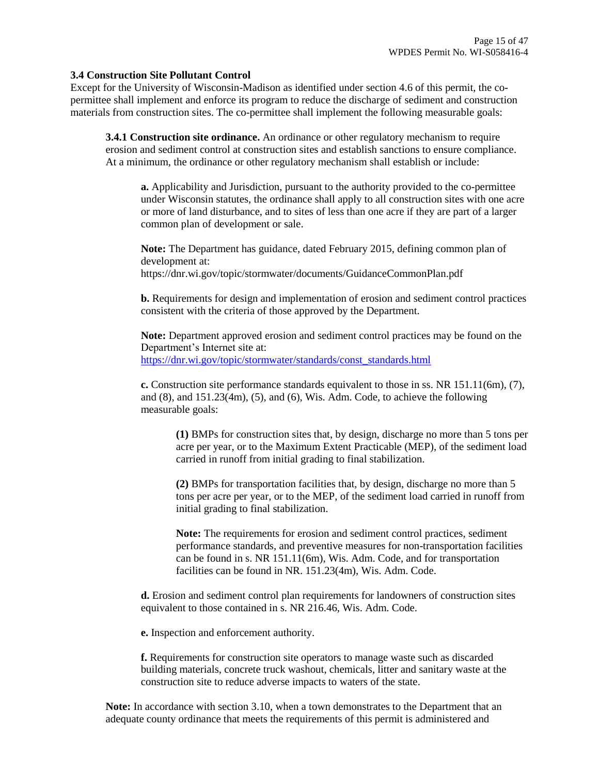#### **3.4 Construction Site Pollutant Control**

Except for the University of Wisconsin-Madison as identified under section 4.6 of this permit, the copermittee shall implement and enforce its program to reduce the discharge of sediment and construction materials from construction sites. The co-permittee shall implement the following measurable goals:

**3.4.1 Construction site ordinance.** An ordinance or other regulatory mechanism to require erosion and sediment control at construction sites and establish sanctions to ensure compliance. At a minimum, the ordinance or other regulatory mechanism shall establish or include:

**a.** Applicability and Jurisdiction, pursuant to the authority provided to the co-permittee under Wisconsin statutes, the ordinance shall apply to all construction sites with one acre or more of land disturbance, and to sites of less than one acre if they are part of a larger common plan of development or sale.

**Note:** The Department has guidance, dated February 2015, defining common plan of development at: https://dnr.wi.gov/topic/stormwater/documents/GuidanceCommonPlan.pdf

**b.** Requirements for design and implementation of erosion and sediment control practices consistent with the criteria of those approved by the Department.

**Note:** Department approved erosion and sediment control practices may be found on the Department's Internet site at: [https://dnr.wi.gov/topic/stormwater/standards/const\\_standards.html](http://dnr.wi.gov/topic/stormwater/standards/const_standards.html)

**c.** Construction site performance standards equivalent to those in ss. NR 151.11(6m), (7), and  $(8)$ , and  $151.23(4m)$ ,  $(5)$ , and  $(6)$ , Wis. Adm. Code, to achieve the following measurable goals:

**(1)** BMPs for construction sites that, by design, discharge no more than 5 tons per acre per year, or to the Maximum Extent Practicable (MEP), of the sediment load carried in runoff from initial grading to final stabilization.

**(2)** BMPs for transportation facilities that, by design, discharge no more than 5 tons per acre per year, or to the MEP, of the sediment load carried in runoff from initial grading to final stabilization.

**Note:** The requirements for erosion and sediment control practices, sediment performance standards, and preventive measures for non-transportation facilities can be found in s. NR 151.11(6m), Wis. Adm. Code, and for transportation facilities can be found in NR. 151.23(4m), Wis. Adm. Code.

**d.** Erosion and sediment control plan requirements for landowners of construction sites equivalent to those contained in s. NR 216.46, Wis. Adm. Code.

**e.** Inspection and enforcement authority.

**f.** Requirements for construction site operators to manage waste such as discarded building materials, concrete truck washout, chemicals, litter and sanitary waste at the construction site to reduce adverse impacts to waters of the state.

**Note:** In accordance with section 3.10, when a town demonstrates to the Department that an adequate county ordinance that meets the requirements of this permit is administered and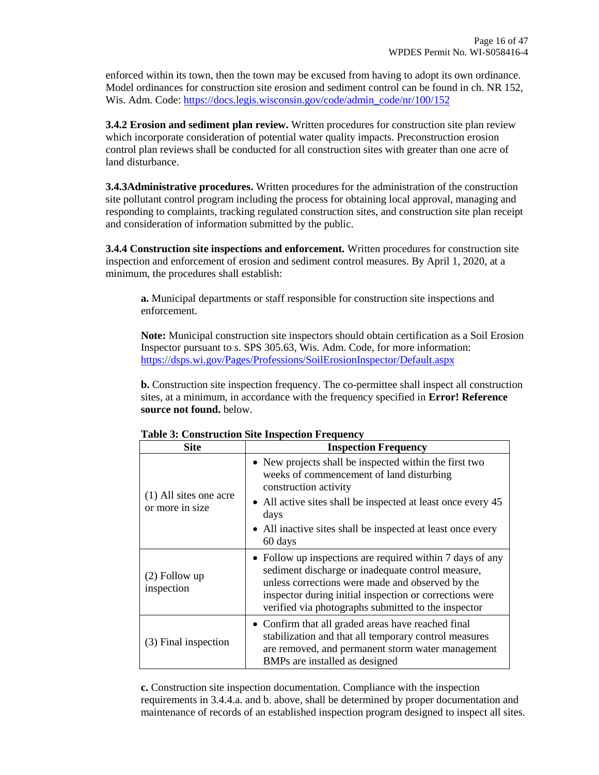enforced within its town, then the town may be excused from having to adopt its own ordinance. Model ordinances for construction site erosion and sediment control can be found in ch. NR 152, Wis. Adm. Code[: https://docs.legis.wisconsin.gov/code/admin\\_code/nr/100/152](https://docs.legis.wisconsin.gov/code/admin_code/nr/100/152)

**3.4.2 Erosion and sediment plan review.** Written procedures for construction site plan review which incorporate consideration of potential water quality impacts. Preconstruction erosion control plan reviews shall be conducted for all construction sites with greater than one acre of land disturbance.

**3.4.3Administrative procedures.** Written procedures for the administration of the construction site pollutant control program including the process for obtaining local approval, managing and responding to complaints, tracking regulated construction sites, and construction site plan receipt and consideration of information submitted by the public.

**3.4.4 Construction site inspections and enforcement.** Written procedures for construction site inspection and enforcement of erosion and sediment control measures. By April 1, 2020, at a minimum, the procedures shall establish:

**a.** Municipal departments or staff responsible for construction site inspections and enforcement.

**Note:** Municipal construction site inspectors should obtain certification as a Soil Erosion Inspector pursuant to s. SPS 305.63, Wis. Adm. Code, for more information: https://dsps.wi.gov/Pages/Professions/SoilErosionInspector/Default.aspx

**b.** Construction site inspection frequency. The co-permittee shall inspect all construction sites, at a minimum, in accordance with the frequency specified in **Error! Reference source not found.** below.

| <b>Site</b>                                 | <b>Inspection Frequency</b>                                                                                                                                                                                                                                                          |
|---------------------------------------------|--------------------------------------------------------------------------------------------------------------------------------------------------------------------------------------------------------------------------------------------------------------------------------------|
|                                             | • New projects shall be inspected within the first two<br>weeks of commencement of land disturbing<br>construction activity                                                                                                                                                          |
| $(1)$ All sites one acre<br>or more in size | • All active sites shall be inspected at least once every 45<br>days                                                                                                                                                                                                                 |
|                                             | • All inactive sites shall be inspected at least once every<br>60 days                                                                                                                                                                                                               |
| $(2)$ Follow up<br>inspection               | • Follow up inspections are required within 7 days of any<br>sediment discharge or inadequate control measure,<br>unless corrections were made and observed by the<br>inspector during initial inspection or corrections were<br>verified via photographs submitted to the inspector |
| (3) Final inspection                        | • Confirm that all graded areas have reached final<br>stabilization and that all temporary control measures<br>are removed, and permanent storm water management<br>BMPs are installed as designed                                                                                   |

**Table 3: Construction Site Inspection Frequency**

**c.** Construction site inspection documentation. Compliance with the inspection requirements in 3.4.4.a. and b. above, shall be determined by proper documentation and maintenance of records of an established inspection program designed to inspect all sites.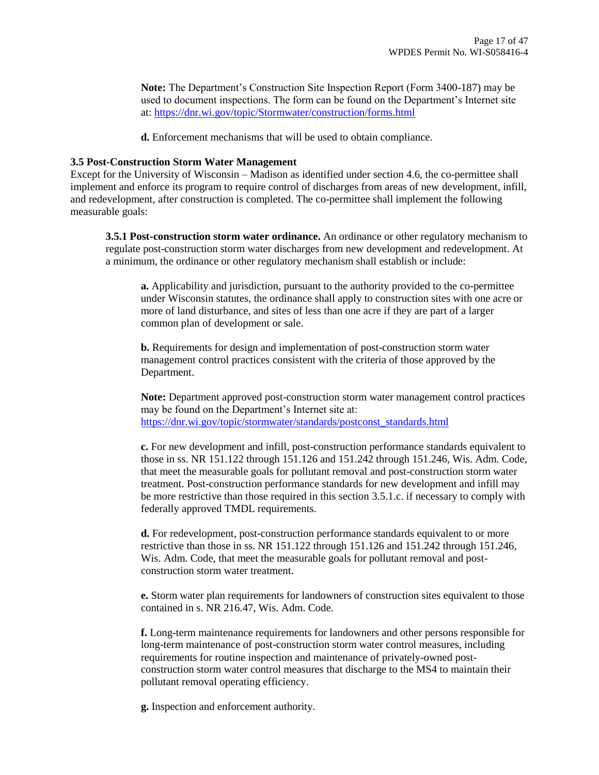**Note:** The Department's Construction Site Inspection Report (Form 3400-187) may be used to document inspections. The form can be found on the Department's Internet site at[: https://dnr.wi.gov/topic/Stormwater/construction/forms.html](https://dnr.wi.gov/topic/Stormwater/construction/forms.html) 

**d.** Enforcement mechanisms that will be used to obtain compliance.

#### **3.5 Post-Construction Storm Water Management**

Except for the University of Wisconsin – Madison as identified under section 4.6, the co-permittee shall implement and enforce its program to require control of discharges from areas of new development, infill, and redevelopment, after construction is completed. The co-permittee shall implement the following measurable goals:

**3.5.1 Post-construction storm water ordinance.** An ordinance or other regulatory mechanism to regulate post-construction storm water discharges from new development and redevelopment. At a minimum, the ordinance or other regulatory mechanism shall establish or include:

**a.** Applicability and jurisdiction, pursuant to the authority provided to the co-permittee under Wisconsin statutes, the ordinance shall apply to construction sites with one acre or more of land disturbance, and sites of less than one acre if they are part of a larger common plan of development or sale.

**b.** Requirements for design and implementation of post-construction storm water management control practices consistent with the criteria of those approved by the Department.

**Note:** Department approved post-construction storm water management control practices may be found on the Department's Internet site at: [https://dnr.wi.gov/topic/stormwater/standards/postconst\\_standards.html](http://dnr.wi.gov/topic/stormwater/standards/postconst_standards.html)

**c.** For new development and infill, post-construction performance standards equivalent to those in ss. NR 151.122 through 151.126 and 151.242 through 151.246, Wis. Adm. Code, that meet the measurable goals for pollutant removal and post-construction storm water treatment. Post-construction performance standards for new development and infill may be more restrictive than those required in this section 3.5.1.c. if necessary to comply with federally approved TMDL requirements.

**d.** For redevelopment, post-construction performance standards equivalent to or more restrictive than those in ss. NR 151.122 through 151.126 and 151.242 through 151.246, Wis. Adm. Code, that meet the measurable goals for pollutant removal and postconstruction storm water treatment.

**e.** Storm water plan requirements for landowners of construction sites equivalent to those contained in s. NR 216.47, Wis. Adm. Code.

**f.** Long-term maintenance requirements for landowners and other persons responsible for long-term maintenance of post-construction storm water control measures, including requirements for routine inspection and maintenance of privately-owned postconstruction storm water control measures that discharge to the MS4 to maintain their pollutant removal operating efficiency.

**g.** Inspection and enforcement authority.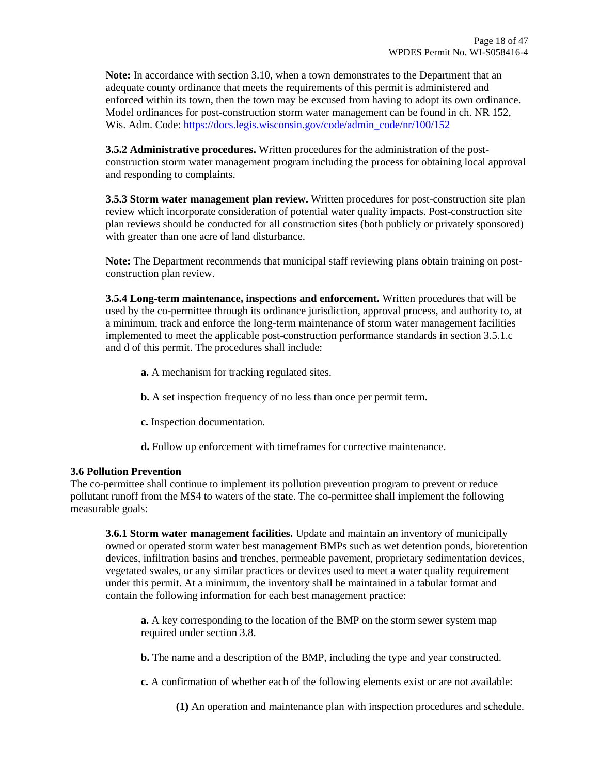**Note:** In accordance with section 3.10, when a town demonstrates to the Department that an adequate county ordinance that meets the requirements of this permit is administered and enforced within its town, then the town may be excused from having to adopt its own ordinance. Model ordinances for post-construction storm water management can be found in ch. NR 152, Wis. Adm. Code[: https://docs.legis.wisconsin.gov/code/admin\\_code/nr/100/152](ttp://docs.legis.wisconsin.gov/code/admin_code/nr/100/152)

**3.5.2 Administrative procedures.** Written procedures for the administration of the postconstruction storm water management program including the process for obtaining local approval and responding to complaints.

**3.5.3 Storm water management plan review.** Written procedures for post-construction site plan review which incorporate consideration of potential water quality impacts. Post-construction site plan reviews should be conducted for all construction sites (both publicly or privately sponsored) with greater than one acre of land disturbance.

**Note:** The Department recommends that municipal staff reviewing plans obtain training on postconstruction plan review.

**3.5.4 Long-term maintenance, inspections and enforcement.** Written procedures that will be used by the co-permittee through its ordinance jurisdiction, approval process, and authority to, at a minimum, track and enforce the long-term maintenance of storm water management facilities implemented to meet the applicable post-construction performance standards in section 3.5.1.c and d of this permit. The procedures shall include:

- **a.** A mechanism for tracking regulated sites.
- **b.** A set inspection frequency of no less than once per permit term.
- **c.** Inspection documentation.
- **d.** Follow up enforcement with timeframes for corrective maintenance.

#### **3.6 Pollution Prevention**

The co-permittee shall continue to implement its pollution prevention program to prevent or reduce pollutant runoff from the MS4 to waters of the state. The co-permittee shall implement the following measurable goals:

**3.6.1 Storm water management facilities.** Update and maintain an inventory of municipally owned or operated storm water best management BMPs such as wet detention ponds, bioretention devices, infiltration basins and trenches, permeable pavement, proprietary sedimentation devices, vegetated swales, or any similar practices or devices used to meet a water quality requirement under this permit. At a minimum, the inventory shall be maintained in a tabular format and contain the following information for each best management practice:

**a.** A key corresponding to the location of the BMP on the storm sewer system map required under section 3.8.

**b.** The name and a description of the BMP, including the type and year constructed.

**c.** A confirmation of whether each of the following elements exist or are not available:

**(1)** An operation and maintenance plan with inspection procedures and schedule.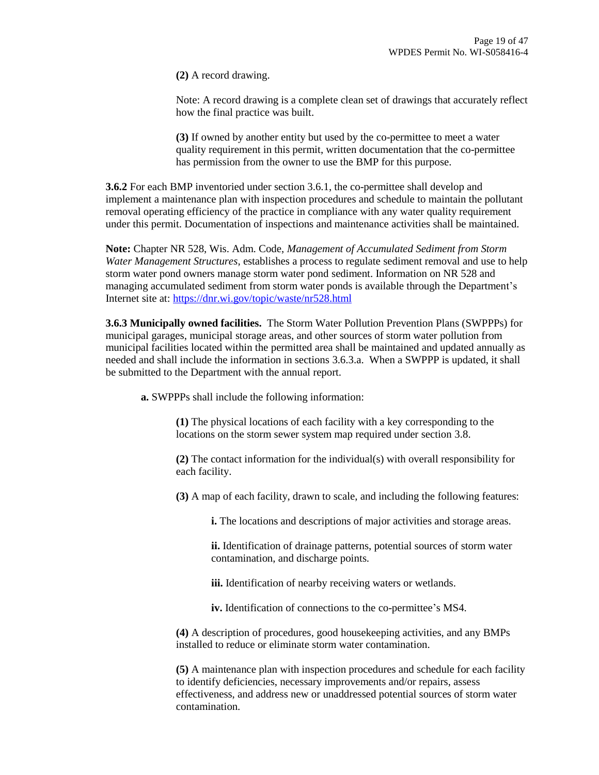**(2)** A record drawing.

Note: A record drawing is a complete clean set of drawings that accurately reflect how the final practice was built.

**(3)** If owned by another entity but used by the co-permittee to meet a water quality requirement in this permit, written documentation that the co-permittee has permission from the owner to use the BMP for this purpose.

**3.6.2** For each BMP inventoried under section 3.6.1, the co-permittee shall develop and implement a maintenance plan with inspection procedures and schedule to maintain the pollutant removal operating efficiency of the practice in compliance with any water quality requirement under this permit. Documentation of inspections and maintenance activities shall be maintained.

**Note:** Chapter NR 528, Wis. Adm. Code, *Management of Accumulated Sediment from Storm Water Management Structures*, establishes a process to regulate sediment removal and use to help storm water pond owners manage storm water pond sediment. Information on NR 528 and managing accumulated sediment from storm water ponds is available through the Department's Internet site at[: https://dnr.wi.gov/topic/waste/nr528.html](http://dnr.wi.gov/topic/waste/nr528.html)

**3.6.3 Municipally owned facilities.** The Storm Water Pollution Prevention Plans (SWPPPs) for municipal garages, municipal storage areas, and other sources of storm water pollution from municipal facilities located within the permitted area shall be maintained and updated annually as needed and shall include the information in sections 3.6.3.a. When a SWPPP is updated, it shall be submitted to the Department with the annual report.

**a.** SWPPPs shall include the following information:

**(1)** The physical locations of each facility with a key corresponding to the locations on the storm sewer system map required under section 3.8.

**(2)** The contact information for the individual(s) with overall responsibility for each facility.

**(3)** A map of each facility, drawn to scale, and including the following features:

**i.** The locations and descriptions of major activities and storage areas.

**ii.** Identification of drainage patterns, potential sources of storm water contamination, and discharge points.

**iii.** Identification of nearby receiving waters or wetlands.

**iv.** Identification of connections to the co-permittee's MS4.

**(4)** A description of procedures, good housekeeping activities, and any BMPs installed to reduce or eliminate storm water contamination.

**(5)** A maintenance plan with inspection procedures and schedule for each facility to identify deficiencies, necessary improvements and/or repairs, assess effectiveness, and address new or unaddressed potential sources of storm water contamination.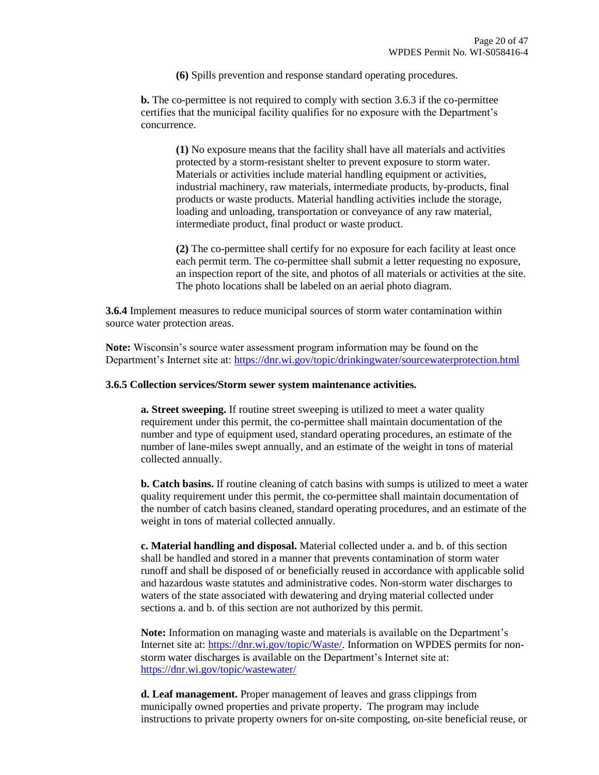**(6)** Spills prevention and response standard operating procedures.

**b.** The co-permittee is not required to comply with section 3.6.3 if the co-permittee certifies that the municipal facility qualifies for no exposure with the Department's concurrence.

**(1)** No exposure means that the facility shall have all materials and activities protected by a storm-resistant shelter to prevent exposure to storm water. Materials or activities include material handling equipment or activities, industrial machinery, raw materials, intermediate products, by-products, final products or waste products. Material handling activities include the storage, loading and unloading, transportation or conveyance of any raw material, intermediate product, final product or waste product.

**(2)** The co-permittee shall certify for no exposure for each facility at least once each permit term. The co-permittee shall submit a letter requesting no exposure, an inspection report of the site, and photos of all materials or activities at the site. The photo locations shall be labeled on an aerial photo diagram.

**3.6.4** Implement measures to reduce municipal sources of storm water contamination within source water protection areas.

**Note:** Wisconsin's source water assessment program information may be found on the Department's Internet site at: [https://dnr.wi.gov/topic/drinkingwater/sourcewaterprotection.html](http://dnr.wi.gov/topic/drinkingwater/sourcewaterprotection.html)

#### **3.6.5 Collection services/Storm sewer system maintenance activities.**

**a. Street sweeping.** If routine street sweeping is utilized to meet a water quality requirement under this permit, the co-permittee shall maintain documentation of the number and type of equipment used, standard operating procedures, an estimate of the number of lane-miles swept annually, and an estimate of the weight in tons of material collected annually.

**b. Catch basins.** If routine cleaning of catch basins with sumps is utilized to meet a water quality requirement under this permit, the co-permittee shall maintain documentation of the number of catch basins cleaned, standard operating procedures, and an estimate of the weight in tons of material collected annually.

**c. Material handling and disposal.** Material collected under a. and b. of this section shall be handled and stored in a manner that prevents contamination of storm water runoff and shall be disposed of or beneficially reused in accordance with applicable solid and hazardous waste statutes and administrative codes. Non-storm water discharges to waters of the state associated with dewatering and drying material collected under sections a. and b. of this section are not authorized by this permit.

**Note:** Information on managing waste and materials is available on the Department's Internet site at[: https://dnr.wi.gov/topic/Waste/.](https://dnr.wi.gov/topic/Waste/) Information on WPDES permits for nonstorm water discharges is available on the Department's Internet site at: <https://dnr.wi.gov/topic/wastewater/>

**d. Leaf management.** Proper management of leaves and grass clippings from municipally owned properties and private property. The program may include instructions to private property owners for on-site composting, on-site beneficial reuse, or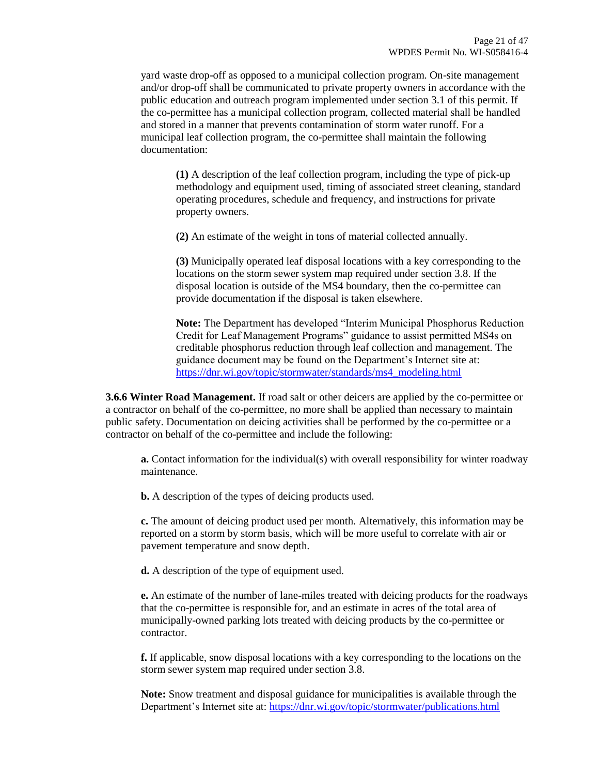yard waste drop-off as opposed to a municipal collection program. On-site management and/or drop-off shall be communicated to private property owners in accordance with the public education and outreach program implemented under section 3.1 of this permit. If the co-permittee has a municipal collection program, collected material shall be handled and stored in a manner that prevents contamination of storm water runoff. For a municipal leaf collection program, the co-permittee shall maintain the following documentation:

**(1)** A description of the leaf collection program, including the type of pick-up methodology and equipment used, timing of associated street cleaning, standard operating procedures, schedule and frequency, and instructions for private property owners.

**(2)** An estimate of the weight in tons of material collected annually.

**(3)** Municipally operated leaf disposal locations with a key corresponding to the locations on the storm sewer system map required under section 3.8. If the disposal location is outside of the MS4 boundary, then the co-permittee can provide documentation if the disposal is taken elsewhere.

**Note:** The Department has developed "Interim Municipal Phosphorus Reduction Credit for Leaf Management Programs" guidance to assist permitted MS4s on creditable phosphorus reduction through leaf collection and management. The guidance document may be found on the Department's Internet site at: [https://dnr.wi.gov/topic/stormwater/standards/ms4\\_modeling.html](https://dnr.wi.gov/topic/stormwater/standards/ms4_modeling.html)

**3.6.6 Winter Road Management.** If road salt or other deicers are applied by the co-permittee or a contractor on behalf of the co-permittee, no more shall be applied than necessary to maintain public safety. Documentation on deicing activities shall be performed by the co-permittee or a contractor on behalf of the co-permittee and include the following:

**a.** Contact information for the individual(s) with overall responsibility for winter roadway maintenance.

**b.** A description of the types of deicing products used.

**c.** The amount of deicing product used per month. Alternatively, this information may be reported on a storm by storm basis, which will be more useful to correlate with air or pavement temperature and snow depth.

**d.** A description of the type of equipment used.

**e.** An estimate of the number of lane-miles treated with deicing products for the roadways that the co-permittee is responsible for, and an estimate in acres of the total area of municipally-owned parking lots treated with deicing products by the co-permittee or contractor.

**f.** If applicable, snow disposal locations with a key corresponding to the locations on the storm sewer system map required under section 3.8.

**Note:** Snow treatment and disposal guidance for municipalities is available through the Department's Internet site at: [https://dnr.wi.gov/topic/stormwater/publications.html](http://dnr.wi.gov/topic/stormwater/publications.html)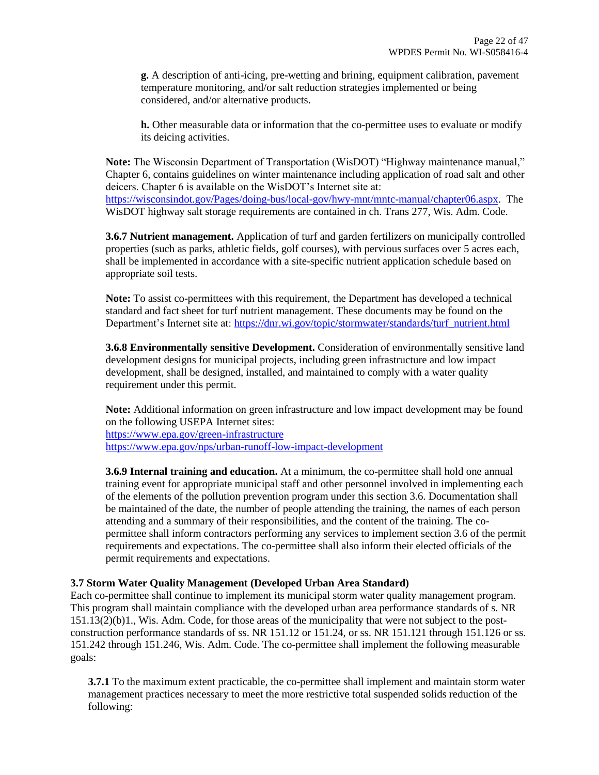**g.** A description of anti-icing, pre-wetting and brining, equipment calibration, pavement temperature monitoring, and/or salt reduction strategies implemented or being considered, and/or alternative products.

**h.** Other measurable data or information that the co-permittee uses to evaluate or modify its deicing activities.

**Note:** The Wisconsin Department of Transportation (WisDOT) "Highway maintenance manual," Chapter 6, contains guidelines on winter maintenance including application of road salt and other deicers. Chapter 6 is available on the WisDOT's Internet site at: [https://wisconsindot.gov/Pages/doing-bus/local-gov/hwy-mnt/mntc-manual/chapter06.aspx.](https://wisconsindot.gov/Pages/doing-bus/local-gov/hwy-mnt/mntc-manual/chapter06.aspx) The WisDOT highway salt storage requirements are contained in ch. Trans 277, Wis. Adm. Code.

**3.6.7 Nutrient management.** Application of turf and garden fertilizers on municipally controlled properties (such as parks, athletic fields, golf courses), with pervious surfaces over 5 acres each, shall be implemented in accordance with a site-specific nutrient application schedule based on appropriate soil tests.

**Note:** To assist co-permittees with this requirement, the Department has developed a technical standard and fact sheet for turf nutrient management. These documents may be found on the Department's Internet site at: [https://dnr.wi.gov/topic/stormwater/standards/turf\\_nutrient.html](https://dnr.wi.gov/topic/stormwater/standards/turf_nutrient.html)

**3.6.8 Environmentally sensitive Development.** Consideration of environmentally sensitive land development designs for municipal projects, including green infrastructure and low impact development, shall be designed, installed, and maintained to comply with a water quality requirement under this permit.

**Note:** Additional information on green infrastructure and low impact development may be found on the following USEPA Internet sites: <https://www.epa.gov/green-infrastructure> <https://www.epa.gov/nps/urban-runoff-low-impact-development>

**3.6.9 Internal training and education.** At a minimum, the co-permittee shall hold one annual training event for appropriate municipal staff and other personnel involved in implementing each of the elements of the pollution prevention program under this section 3.6. Documentation shall be maintained of the date, the number of people attending the training, the names of each person attending and a summary of their responsibilities, and the content of the training. The copermittee shall inform contractors performing any services to implement section 3.6 of the permit requirements and expectations. The co-permittee shall also inform their elected officials of the permit requirements and expectations.

#### **3.7 Storm Water Quality Management (Developed Urban Area Standard)**

Each co-permittee shall continue to implement its municipal storm water quality management program. This program shall maintain compliance with the developed urban area performance standards of s. NR 151.13(2)(b)1., Wis. Adm. Code, for those areas of the municipality that were not subject to the postconstruction performance standards of ss. NR 151.12 or 151.24, or ss. NR 151.121 through 151.126 or ss. 151.242 through 151.246, Wis. Adm. Code. The co-permittee shall implement the following measurable goals:

**3.7.1** To the maximum extent practicable, the co-permittee shall implement and maintain storm water management practices necessary to meet the more restrictive total suspended solids reduction of the following: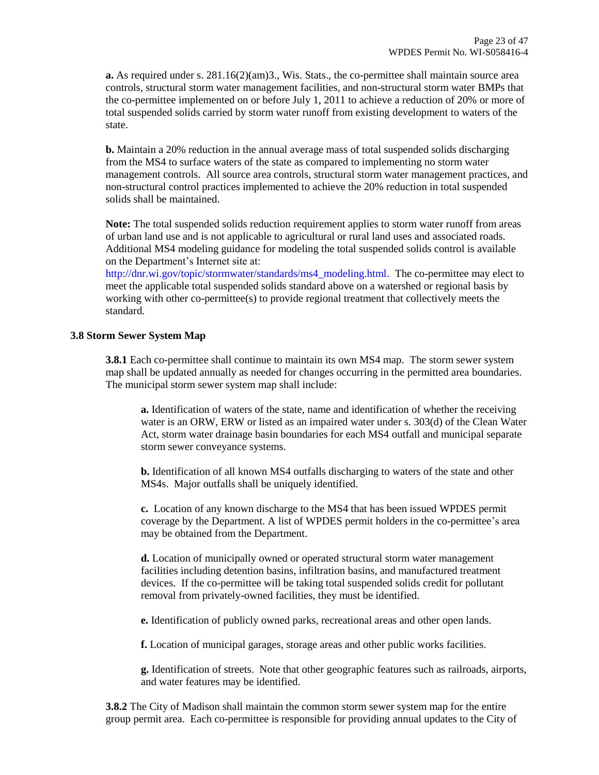**a.** As required under s. 281.16(2)(am)3., Wis. Stats., the co-permittee shall maintain source area controls, structural storm water management facilities, and non-structural storm water BMPs that the co-permittee implemented on or before July 1, 2011 to achieve a reduction of 20% or more of total suspended solids carried by storm water runoff from existing development to waters of the state.

**b.** Maintain a 20% reduction in the annual average mass of total suspended solids discharging from the MS4 to surface waters of the state as compared to implementing no storm water management controls. All source area controls, structural storm water management practices, and non-structural control practices implemented to achieve the 20% reduction in total suspended solids shall be maintained.

**Note:** The total suspended solids reduction requirement applies to storm water runoff from areas of urban land use and is not applicable to agricultural or rural land uses and associated roads. Additional MS4 modeling guidance for modeling the total suspended solids control is available on the Department's Internet site at:

[http://dnr.wi.gov/topic/stormwater/standards/ms4\\_modeling.html.](http://dnr.wi.gov/topic/stormwater/standards/ms4_modeling.html) The co-permittee may elect to meet the applicable total suspended solids standard above on a watershed or regional basis by working with other co-permittee(s) to provide regional treatment that collectively meets the standard.

#### **3.8 Storm Sewer System Map**

**3.8.1** Each co-permittee shall continue to maintain its own MS4 map. The storm sewer system map shall be updated annually as needed for changes occurring in the permitted area boundaries. The municipal storm sewer system map shall include:

**a.** Identification of waters of the state, name and identification of whether the receiving water is an ORW, ERW or listed as an impaired water under s. 303(d) of the Clean Water Act, storm water drainage basin boundaries for each MS4 outfall and municipal separate storm sewer conveyance systems.

**b.** Identification of all known MS4 outfalls discharging to waters of the state and other MS4s. Major outfalls shall be uniquely identified.

**c.** Location of any known discharge to the MS4 that has been issued WPDES permit coverage by the Department. A list of WPDES permit holders in the co-permittee's area may be obtained from the Department.

**d.** Location of municipally owned or operated structural storm water management facilities including detention basins, infiltration basins, and manufactured treatment devices. If the co-permittee will be taking total suspended solids credit for pollutant removal from privately-owned facilities, they must be identified.

**e.** Identification of publicly owned parks, recreational areas and other open lands.

**f.** Location of municipal garages, storage areas and other public works facilities.

**g.** Identification of streets. Note that other geographic features such as railroads, airports, and water features may be identified.

**3.8.2** The City of Madison shall maintain the common storm sewer system map for the entire group permit area. Each co-permittee is responsible for providing annual updates to the City of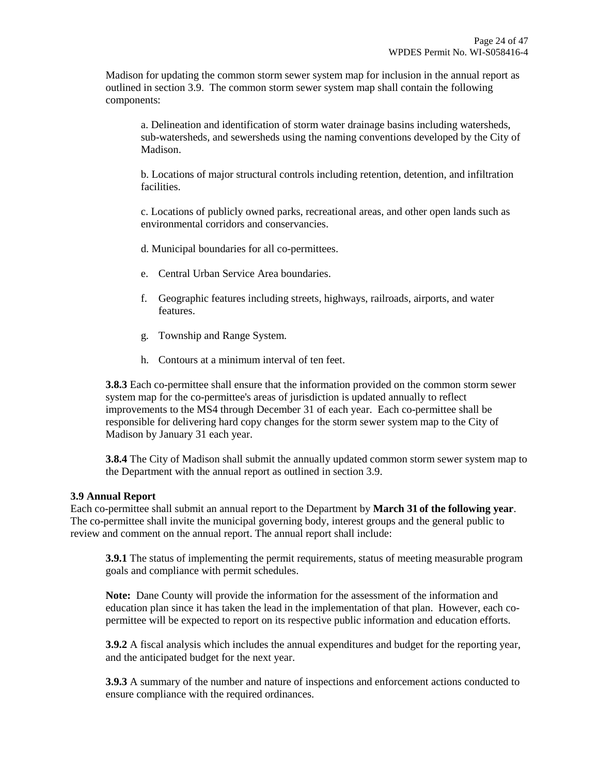Madison for updating the common storm sewer system map for inclusion in the annual report as outlined in section 3.9. The common storm sewer system map shall contain the following components:

a. Delineation and identification of storm water drainage basins including watersheds, sub-watersheds, and sewersheds using the naming conventions developed by the City of Madison.

b. Locations of major structural controls including retention, detention, and infiltration facilities.

c. Locations of publicly owned parks, recreational areas, and other open lands such as environmental corridors and conservancies.

- d. Municipal boundaries for all co-permittees.
- e. Central Urban Service Area boundaries.
- f. Geographic features including streets, highways, railroads, airports, and water features.
- g. Township and Range System.
- h. Contours at a minimum interval of ten feet.

**3.8.3** Each co-permittee shall ensure that the information provided on the common storm sewer system map for the co-permittee's areas of jurisdiction is updated annually to reflect improvements to the MS4 through December 31 of each year. Each co-permittee shall be responsible for delivering hard copy changes for the storm sewer system map to the City of Madison by January 31 each year.

**3.8.4** The City of Madison shall submit the annually updated common storm sewer system map to the Department with the annual report as outlined in section 3.9.

#### **3.9 Annual Report**

Each co-permittee shall submit an annual report to the Department by **March 31 of the following year**. The co-permittee shall invite the municipal governing body, interest groups and the general public to review and comment on the annual report. The annual report shall include:

**3.9.1** The status of implementing the permit requirements, status of meeting measurable program goals and compliance with permit schedules.

**Note:** Dane County will provide the information for the assessment of the information and education plan since it has taken the lead in the implementation of that plan. However, each copermittee will be expected to report on its respective public information and education efforts.

**3.9.2** A fiscal analysis which includes the annual expenditures and budget for the reporting year, and the anticipated budget for the next year.

**3.9.3** A summary of the number and nature of inspections and enforcement actions conducted to ensure compliance with the required ordinances.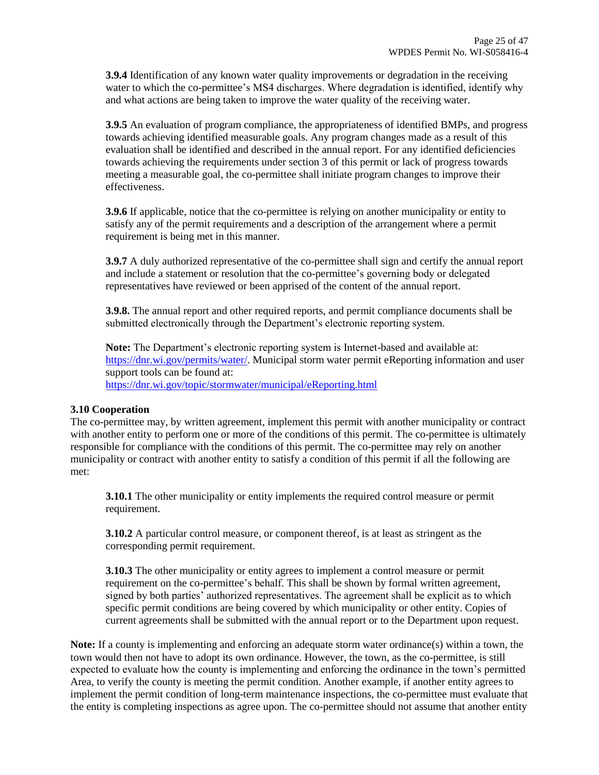**3.9.4** Identification of any known water quality improvements or degradation in the receiving water to which the co-permittee's MS4 discharges. Where degradation is identified, identify why and what actions are being taken to improve the water quality of the receiving water.

**3.9.5** An evaluation of program compliance, the appropriateness of identified BMPs, and progress towards achieving identified measurable goals. Any program changes made as a result of this evaluation shall be identified and described in the annual report. For any identified deficiencies towards achieving the requirements under section 3 of this permit or lack of progress towards meeting a measurable goal, the co-permittee shall initiate program changes to improve their effectiveness.

**3.9.6** If applicable, notice that the co-permittee is relying on another municipality or entity to satisfy any of the permit requirements and a description of the arrangement where a permit requirement is being met in this manner.

**3.9.7** A duly authorized representative of the co-permittee shall sign and certify the annual report and include a statement or resolution that the co-permittee's governing body or delegated representatives have reviewed or been apprised of the content of the annual report.

**3.9.8.** The annual report and other required reports, and permit compliance documents shall be submitted electronically through the Department's electronic reporting system.

**Note:** The Department's electronic reporting system is Internet-based and available at: [https://dnr.wi.gov/permits/water/.](https://dnr.wi.gov/permits/water/) Municipal storm water permit eReporting information and user support tools can be found at: <https://dnr.wi.gov/topic/stormwater/municipal/eReporting.html>

#### **3.10 Cooperation**

The co-permittee may, by written agreement, implement this permit with another municipality or contract with another entity to perform one or more of the conditions of this permit. The co-permittee is ultimately responsible for compliance with the conditions of this permit. The co-permittee may rely on another municipality or contract with another entity to satisfy a condition of this permit if all the following are met:

**3.10.1** The other municipality or entity implements the required control measure or permit requirement.

**3.10.2** A particular control measure, or component thereof, is at least as stringent as the corresponding permit requirement.

**3.10.3** The other municipality or entity agrees to implement a control measure or permit requirement on the co-permittee's behalf. This shall be shown by formal written agreement, signed by both parties' authorized representatives. The agreement shall be explicit as to which specific permit conditions are being covered by which municipality or other entity. Copies of current agreements shall be submitted with the annual report or to the Department upon request.

**Note:** If a county is implementing and enforcing an adequate storm water ordinance(s) within a town, the town would then not have to adopt its own ordinance. However, the town, as the co-permittee, is still expected to evaluate how the county is implementing and enforcing the ordinance in the town's permitted Area, to verify the county is meeting the permit condition. Another example, if another entity agrees to implement the permit condition of long-term maintenance inspections, the co-permittee must evaluate that the entity is completing inspections as agree upon. The co-permittee should not assume that another entity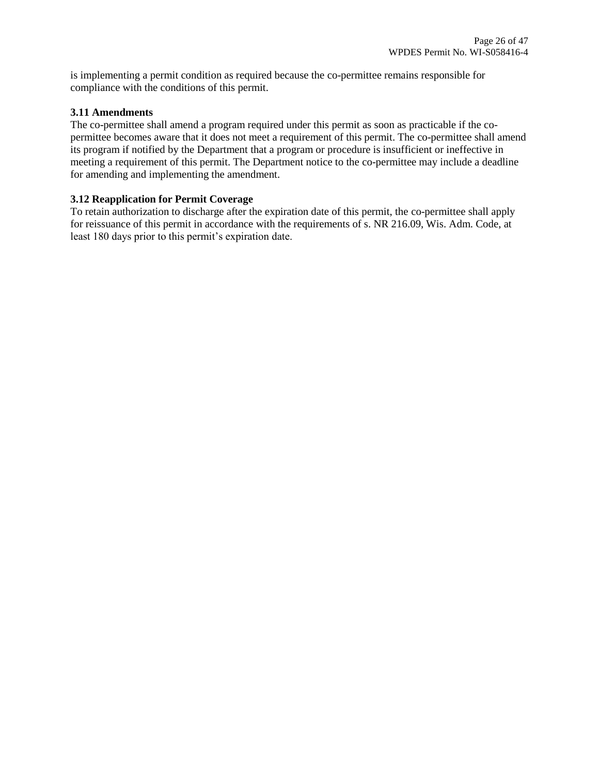is implementing a permit condition as required because the co-permittee remains responsible for compliance with the conditions of this permit.

### **3.11 Amendments**

The co-permittee shall amend a program required under this permit as soon as practicable if the copermittee becomes aware that it does not meet a requirement of this permit. The co-permittee shall amend its program if notified by the Department that a program or procedure is insufficient or ineffective in meeting a requirement of this permit. The Department notice to the co-permittee may include a deadline for amending and implementing the amendment.

## **3.12 Reapplication for Permit Coverage**

To retain authorization to discharge after the expiration date of this permit, the co-permittee shall apply for reissuance of this permit in accordance with the requirements of s. NR 216.09, Wis. Adm. Code, at least 180 days prior to this permit's expiration date.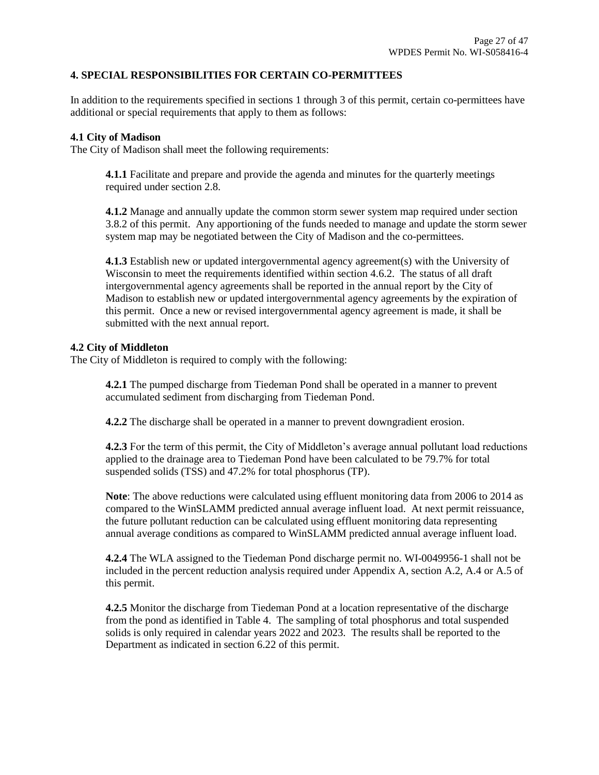### **4. SPECIAL RESPONSIBILITIES FOR CERTAIN CO-PERMITTEES**

In addition to the requirements specified in sections 1 through 3 of this permit, certain co-permittees have additional or special requirements that apply to them as follows:

#### **4.1 City of Madison**

The City of Madison shall meet the following requirements:

**4.1.1** Facilitate and prepare and provide the agenda and minutes for the quarterly meetings required under section 2.8.

**4.1.2** Manage and annually update the common storm sewer system map required under section 3.8.2 of this permit. Any apportioning of the funds needed to manage and update the storm sewer system map may be negotiated between the City of Madison and the co-permittees.

**4.1.3** Establish new or updated intergovernmental agency agreement(s) with the University of Wisconsin to meet the requirements identified within section 4.6.2. The status of all draft intergovernmental agency agreements shall be reported in the annual report by the City of Madison to establish new or updated intergovernmental agency agreements by the expiration of this permit. Once a new or revised intergovernmental agency agreement is made, it shall be submitted with the next annual report.

#### **4.2 City of Middleton**

The City of Middleton is required to comply with the following:

**4.2.1** The pumped discharge from Tiedeman Pond shall be operated in a manner to prevent accumulated sediment from discharging from Tiedeman Pond.

**4.2.2** The discharge shall be operated in a manner to prevent downgradient erosion.

**4.2.3** For the term of this permit, the City of Middleton's average annual pollutant load reductions applied to the drainage area to Tiedeman Pond have been calculated to be 79.7% for total suspended solids (TSS) and 47.2% for total phosphorus (TP).

**Note**: The above reductions were calculated using effluent monitoring data from 2006 to 2014 as compared to the WinSLAMM predicted annual average influent load. At next permit reissuance, the future pollutant reduction can be calculated using effluent monitoring data representing annual average conditions as compared to WinSLAMM predicted annual average influent load.

**4.2.4** The WLA assigned to the Tiedeman Pond discharge permit no. WI-0049956-1 shall not be included in the percent reduction analysis required under Appendix A, section A.2, A.4 or A.5 of this permit.

**4.2.5** Monitor the discharge from Tiedeman Pond at a location representative of the discharge from the pond as identified in Table 4. The sampling of total phosphorus and total suspended solids is only required in calendar years 2022 and 2023. The results shall be reported to the Department as indicated in section 6.22 of this permit.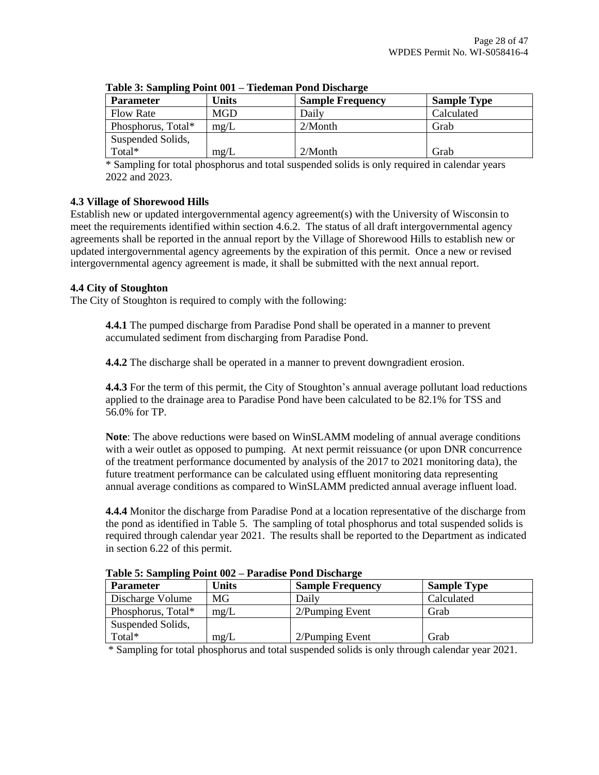| <b>Parameter</b>   | Units       | <b>Sample Frequency</b> | <b>Sample Type</b> |
|--------------------|-------------|-------------------------|--------------------|
| <b>Flow Rate</b>   | <b>MGD</b>  | Daily                   | Calculated         |
| Phosphorus, Total* | $m\Omega/L$ | $2/M$ onth              | Grab               |
| Suspended Solids,  |             |                         |                    |
| Total*             | mg/L        | $2/M$ onth              | Grab               |

**Table 3: Sampling Point 001 – Tiedeman Pond Discharge**

\* Sampling for total phosphorus and total suspended solids is only required in calendar years 2022 and 2023.

# **4.3 Village of Shorewood Hills**

Establish new or updated intergovernmental agency agreement(s) with the University of Wisconsin to meet the requirements identified within section 4.6.2. The status of all draft intergovernmental agency agreements shall be reported in the annual report by the Village of Shorewood Hills to establish new or updated intergovernmental agency agreements by the expiration of this permit. Once a new or revised intergovernmental agency agreement is made, it shall be submitted with the next annual report.

## **4.4 City of Stoughton**

The City of Stoughton is required to comply with the following:

**4.4.1** The pumped discharge from Paradise Pond shall be operated in a manner to prevent accumulated sediment from discharging from Paradise Pond.

**4.4.2** The discharge shall be operated in a manner to prevent downgradient erosion.

**4.4.3** For the term of this permit, the City of Stoughton's annual average pollutant load reductions applied to the drainage area to Paradise Pond have been calculated to be 82.1% for TSS and 56.0% for TP.

**Note**: The above reductions were based on WinSLAMM modeling of annual average conditions with a weir outlet as opposed to pumping. At next permit reissuance (or upon DNR concurrence of the treatment performance documented by analysis of the 2017 to 2021 monitoring data), the future treatment performance can be calculated using effluent monitoring data representing annual average conditions as compared to WinSLAMM predicted annual average influent load.

**4.4.4** Monitor the discharge from Paradise Pond at a location representative of the discharge from the pond as identified in Table 5. The sampling of total phosphorus and total suspended solids is required through calendar year 2021. The results shall be reported to the Department as indicated in section 6.22 of this permit.

| <b>Parameter</b>   | <b>Units</b> | <b>Sample Frequency</b> | <b>Sample Type</b> |
|--------------------|--------------|-------------------------|--------------------|
| Discharge Volume   | MG           | Dailv                   | Calculated         |
| Phosphorus, Total* | mg/L         | 2/Pumping Event         | Grab               |
| Suspended Solids,  |              |                         |                    |
| Total*             | mg/L         | 2/Pumping Event         | Grab               |

**Table 5: Sampling Point 002 – Paradise Pond Discharge**

\* Sampling for total phosphorus and total suspended solids is only through calendar year 2021.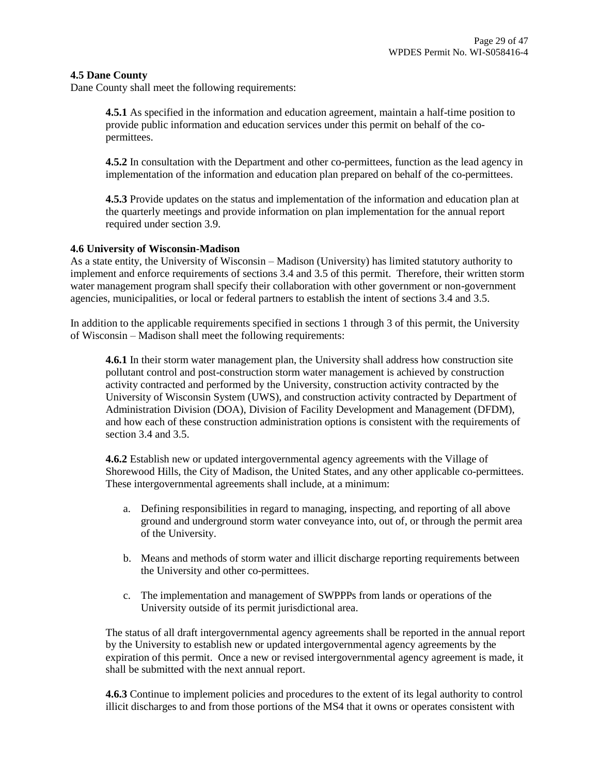#### **4.5 Dane County**

Dane County shall meet the following requirements:

**4.5.1** As specified in the information and education agreement, maintain a half-time position to provide public information and education services under this permit on behalf of the copermittees.

**4.5.2** In consultation with the Department and other co-permittees, function as the lead agency in implementation of the information and education plan prepared on behalf of the co-permittees.

**4.5.3** Provide updates on the status and implementation of the information and education plan at the quarterly meetings and provide information on plan implementation for the annual report required under section 3.9.

#### **4.6 University of Wisconsin-Madison**

As a state entity, the University of Wisconsin – Madison (University) has limited statutory authority to implement and enforce requirements of sections 3.4 and 3.5 of this permit. Therefore, their written storm water management program shall specify their collaboration with other government or non-government agencies, municipalities, or local or federal partners to establish the intent of sections 3.4 and 3.5.

In addition to the applicable requirements specified in sections 1 through 3 of this permit, the University of Wisconsin – Madison shall meet the following requirements:

**4.6.1** In their storm water management plan, the University shall address how construction site pollutant control and post-construction storm water management is achieved by construction activity contracted and performed by the University, construction activity contracted by the University of Wisconsin System (UWS), and construction activity contracted by Department of Administration Division (DOA), Division of Facility Development and Management (DFDM), and how each of these construction administration options is consistent with the requirements of section 3.4 and 3.5.

**4.6.2** Establish new or updated intergovernmental agency agreements with the Village of Shorewood Hills, the City of Madison, the United States, and any other applicable co-permittees. These intergovernmental agreements shall include, at a minimum:

- a. Defining responsibilities in regard to managing, inspecting, and reporting of all above ground and underground storm water conveyance into, out of, or through the permit area of the University.
- b. Means and methods of storm water and illicit discharge reporting requirements between the University and other co-permittees.
- c. The implementation and management of SWPPPs from lands or operations of the University outside of its permit jurisdictional area.

The status of all draft intergovernmental agency agreements shall be reported in the annual report by the University to establish new or updated intergovernmental agency agreements by the expiration of this permit. Once a new or revised intergovernmental agency agreement is made, it shall be submitted with the next annual report.

**4.6.3** Continue to implement policies and procedures to the extent of its legal authority to control illicit discharges to and from those portions of the MS4 that it owns or operates consistent with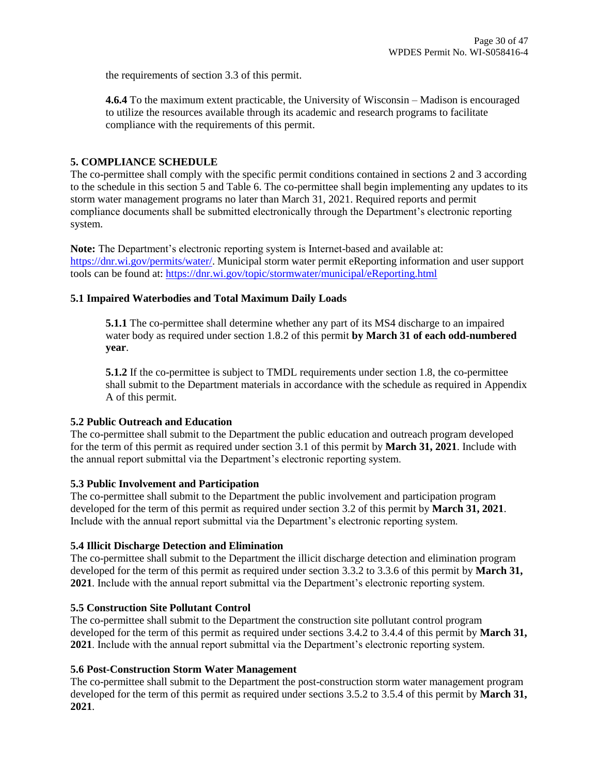the requirements of section 3.3 of this permit.

**4.6.4** To the maximum extent practicable, the University of Wisconsin – Madison is encouraged to utilize the resources available through its academic and research programs to facilitate compliance with the requirements of this permit.

## **5. COMPLIANCE SCHEDULE**

The co-permittee shall comply with the specific permit conditions contained in sections 2 and 3 according to the schedule in this section 5 and Table 6. The co-permittee shall begin implementing any updates to its storm water management programs no later than March 31, 2021. Required reports and permit compliance documents shall be submitted electronically through the Department's electronic reporting system.

**Note:** The Department's electronic reporting system is Internet-based and available at: [https://dnr.wi.gov/permits/water/.](https://dnr.wi.gov/permits/water/) Municipal storm water permit eReporting information and user support tools can be found at:<https://dnr.wi.gov/topic/stormwater/municipal/eReporting.html>

#### **5.1 Impaired Waterbodies and Total Maximum Daily Loads**

**5.1.1** The co-permittee shall determine whether any part of its MS4 discharge to an impaired water body as required under section 1.8.2 of this permit **by March 31 of each odd-numbered year**.

**5.1.2** If the co-permittee is subject to TMDL requirements under section 1.8, the co-permittee shall submit to the Department materials in accordance with the schedule as required in Appendix A of this permit.

#### **5.2 Public Outreach and Education**

The co-permittee shall submit to the Department the public education and outreach program developed for the term of this permit as required under section 3.1 of this permit by **March 31, 2021**. Include with the annual report submittal via the Department's electronic reporting system.

#### **5.3 Public Involvement and Participation**

The co-permittee shall submit to the Department the public involvement and participation program developed for the term of this permit as required under section 3.2 of this permit by **March 31, 2021**. Include with the annual report submittal via the Department's electronic reporting system.

#### **5.4 Illicit Discharge Detection and Elimination**

The co-permittee shall submit to the Department the illicit discharge detection and elimination program developed for the term of this permit as required under section 3.3.2 to 3.3.6 of this permit by **March 31, 2021**. Include with the annual report submittal via the Department's electronic reporting system.

# **5.5 Construction Site Pollutant Control**

The co-permittee shall submit to the Department the construction site pollutant control program developed for the term of this permit as required under sections 3.4.2 to 3.4.4 of this permit by **March 31, 2021**. Include with the annual report submittal via the Department's electronic reporting system.

#### **5.6 Post-Construction Storm Water Management**

The co-permittee shall submit to the Department the post-construction storm water management program developed for the term of this permit as required under sections 3.5.2 to 3.5.4 of this permit by **March 31, 2021**.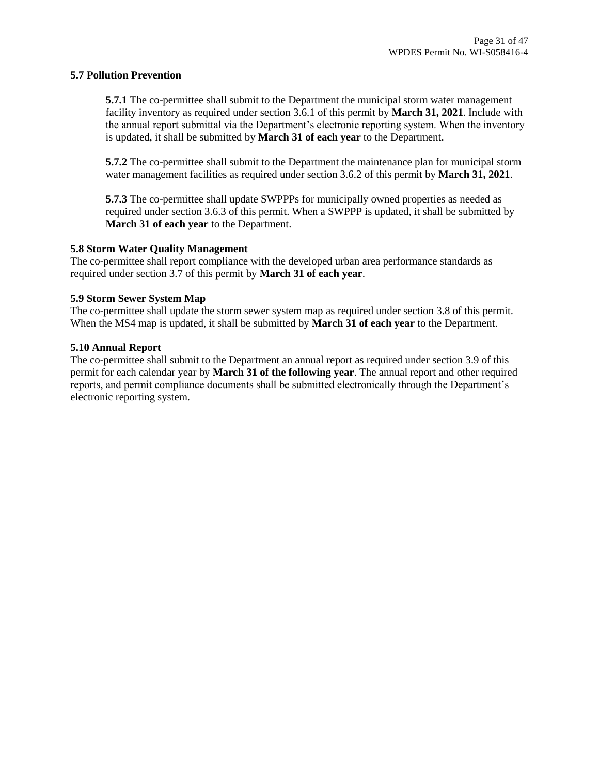#### **5.7 Pollution Prevention**

**5.7.1** The co-permittee shall submit to the Department the municipal storm water management facility inventory as required under section 3.6.1 of this permit by **March 31, 2021**. Include with the annual report submittal via the Department's electronic reporting system. When the inventory is updated, it shall be submitted by **March 31 of each year** to the Department.

**5.7.2** The co-permittee shall submit to the Department the maintenance plan for municipal storm water management facilities as required under section 3.6.2 of this permit by **March 31, 2021**.

**5.7.3** The co-permittee shall update SWPPPs for municipally owned properties as needed as required under section 3.6.3 of this permit. When a SWPPP is updated, it shall be submitted by **March 31 of each year** to the Department.

#### **5.8 Storm Water Quality Management**

The co-permittee shall report compliance with the developed urban area performance standards as required under section 3.7 of this permit by **March 31 of each year**.

#### **5.9 Storm Sewer System Map**

The co-permittee shall update the storm sewer system map as required under section 3.8 of this permit. When the MS4 map is updated, it shall be submitted by **March 31 of each year** to the Department.

#### **5.10 Annual Report**

The co-permittee shall submit to the Department an annual report as required under section 3.9 of this permit for each calendar year by **March 31 of the following year**. The annual report and other required reports, and permit compliance documents shall be submitted electronically through the Department's electronic reporting system.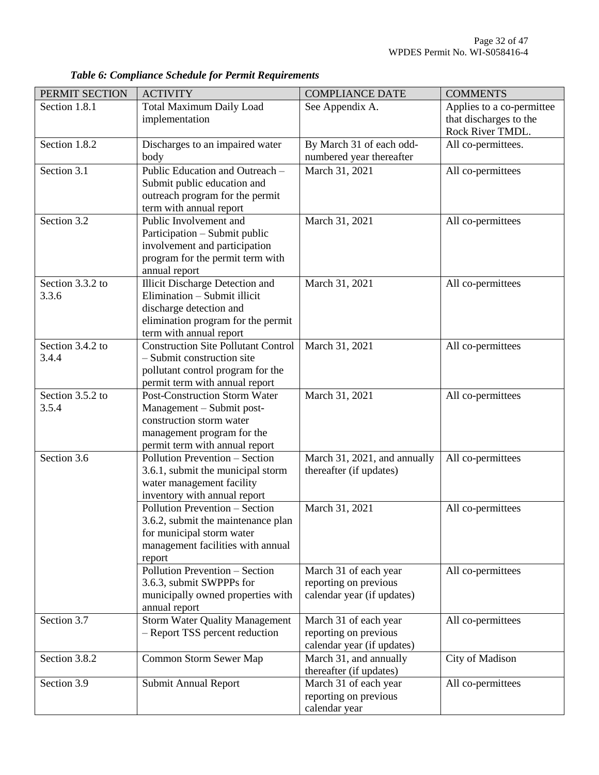| PERMIT SECTION            | <b>ACTIVITY</b>                                                                                                                                                    | <b>COMPLIANCE DATE</b>                                                       | <b>COMMENTS</b>                                     |
|---------------------------|--------------------------------------------------------------------------------------------------------------------------------------------------------------------|------------------------------------------------------------------------------|-----------------------------------------------------|
| Section 1.8.1             | <b>Total Maximum Daily Load</b><br>implementation                                                                                                                  | See Appendix A.                                                              | Applies to a co-permittee<br>that discharges to the |
|                           |                                                                                                                                                                    |                                                                              | Rock River TMDL.                                    |
| Section 1.8.2             | Discharges to an impaired water<br>body                                                                                                                            | By March 31 of each odd-<br>numbered year thereafter                         | All co-permittees.                                  |
| Section 3.1               | Public Education and Outreach -<br>Submit public education and<br>outreach program for the permit<br>term with annual report                                       | March 31, 2021                                                               | All co-permittees                                   |
| Section 3.2               | Public Involvement and<br>Participation – Submit public<br>involvement and participation<br>program for the permit term with<br>annual report                      | March 31, 2021                                                               | All co-permittees                                   |
| Section 3.3.2 to<br>3.3.6 | <b>Illicit Discharge Detection and</b><br>Elimination - Submit illicit<br>discharge detection and<br>elimination program for the permit<br>term with annual report | March 31, 2021                                                               | All co-permittees                                   |
| Section 3.4.2 to<br>3.4.4 | <b>Construction Site Pollutant Control</b><br>- Submit construction site<br>pollutant control program for the<br>permit term with annual report                    | March 31, 2021                                                               | All co-permittees                                   |
| Section 3.5.2 to<br>3.5.4 | <b>Post-Construction Storm Water</b><br>Management - Submit post-<br>construction storm water<br>management program for the<br>permit term with annual report      | March 31, 2021                                                               | All co-permittees                                   |
| Section 3.6               | Pollution Prevention - Section<br>3.6.1, submit the municipal storm<br>water management facility<br>inventory with annual report                                   | March 31, 2021, and annually<br>thereafter (if updates)                      | All co-permittees                                   |
|                           | Pollution Prevention - Section<br>3.6.2, submit the maintenance plan<br>for municipal storm water<br>management facilities with annual<br>report                   | March 31, 2021                                                               | All co-permittees                                   |
|                           | Pollution Prevention - Section<br>3.6.3, submit SWPPPs for<br>municipally owned properties with<br>annual report                                                   | March 31 of each year<br>reporting on previous<br>calendar year (if updates) | All co-permittees                                   |
| Section 3.7               | <b>Storm Water Quality Management</b><br>- Report TSS percent reduction                                                                                            | March 31 of each year<br>reporting on previous<br>calendar year (if updates) | All co-permittees                                   |
| Section 3.8.2             | Common Storm Sewer Map                                                                                                                                             | March 31, and annually<br>thereafter (if updates)                            | City of Madison                                     |
| Section 3.9               | Submit Annual Report                                                                                                                                               | March 31 of each year<br>reporting on previous<br>calendar year              | All co-permittees                                   |

*Table 6: Compliance Schedule for Permit Requirements*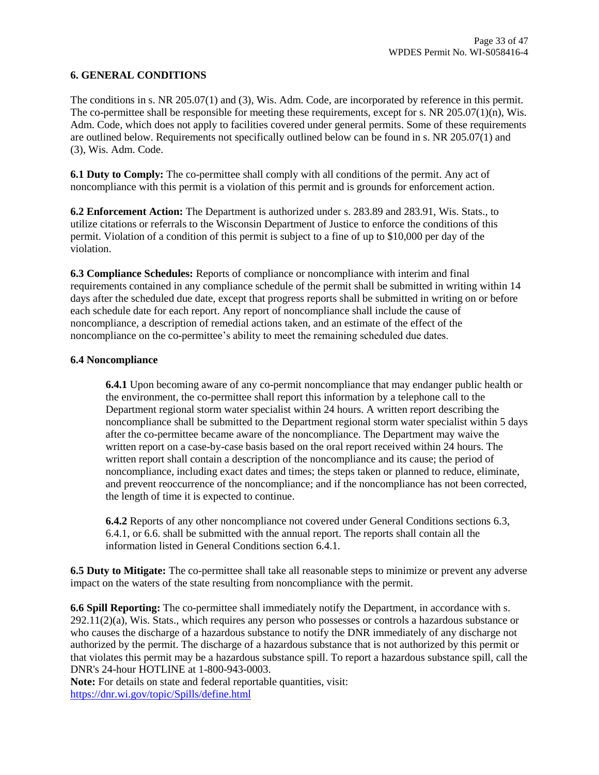## **6. GENERAL CONDITIONS**

The conditions in s. NR 205.07(1) and (3), Wis. Adm. Code, are incorporated by reference in this permit. The co-permittee shall be responsible for meeting these requirements, except for s. NR 205.07(1)(n), Wis. Adm. Code, which does not apply to facilities covered under general permits. Some of these requirements are outlined below. Requirements not specifically outlined below can be found in s. NR 205.07(1) and (3), Wis. Adm. Code.

**6.1 Duty to Comply:** The co-permittee shall comply with all conditions of the permit. Any act of noncompliance with this permit is a violation of this permit and is grounds for enforcement action.

**6.2 Enforcement Action:** The Department is authorized under s. 283.89 and 283.91, Wis. Stats., to utilize citations or referrals to the Wisconsin Department of Justice to enforce the conditions of this permit. Violation of a condition of this permit is subject to a fine of up to \$10,000 per day of the violation.

**6.3 Compliance Schedules:** Reports of compliance or noncompliance with interim and final requirements contained in any compliance schedule of the permit shall be submitted in writing within 14 days after the scheduled due date, except that progress reports shall be submitted in writing on or before each schedule date for each report. Any report of noncompliance shall include the cause of noncompliance, a description of remedial actions taken, and an estimate of the effect of the noncompliance on the co-permittee's ability to meet the remaining scheduled due dates.

#### **6.4 Noncompliance**

**6.4.1** Upon becoming aware of any co-permit noncompliance that may endanger public health or the environment, the co-permittee shall report this information by a telephone call to the Department regional storm water specialist within 24 hours. A written report describing the noncompliance shall be submitted to the Department regional storm water specialist within 5 days after the co-permittee became aware of the noncompliance. The Department may waive the written report on a case-by-case basis based on the oral report received within 24 hours. The written report shall contain a description of the noncompliance and its cause; the period of noncompliance, including exact dates and times; the steps taken or planned to reduce, eliminate, and prevent reoccurrence of the noncompliance; and if the noncompliance has not been corrected, the length of time it is expected to continue.

**6.4.2** Reports of any other noncompliance not covered under General Conditions sections 6.3, 6.4.1, or 6.6. shall be submitted with the annual report. The reports shall contain all the information listed in General Conditions section 6.4.1.

**6.5 Duty to Mitigate:** The co-permittee shall take all reasonable steps to minimize or prevent any adverse impact on the waters of the state resulting from noncompliance with the permit.

**6.6 Spill Reporting:** The co-permittee shall immediately notify the Department, in accordance with s. 292.11(2)(a), Wis. Stats., which requires any person who possesses or controls a hazardous substance or who causes the discharge of a hazardous substance to notify the DNR immediately of any discharge not authorized by the permit. The discharge of a hazardous substance that is not authorized by this permit or that violates this permit may be a hazardous substance spill. To report a hazardous substance spill, call the DNR's 24-hour HOTLINE at 1-800-943-0003.

Note: For details on state and federal reportable quantities, visit: <https://dnr.wi.gov/topic/Spills/define.html>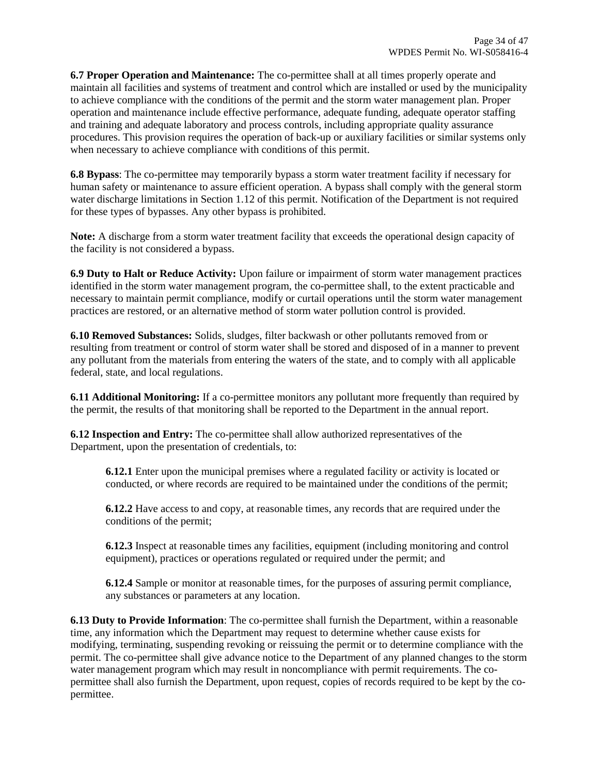**6.7 Proper Operation and Maintenance:** The co-permittee shall at all times properly operate and maintain all facilities and systems of treatment and control which are installed or used by the municipality to achieve compliance with the conditions of the permit and the storm water management plan. Proper operation and maintenance include effective performance, adequate funding, adequate operator staffing and training and adequate laboratory and process controls, including appropriate quality assurance procedures. This provision requires the operation of back-up or auxiliary facilities or similar systems only when necessary to achieve compliance with conditions of this permit.

**6.8 Bypass**: The co-permittee may temporarily bypass a storm water treatment facility if necessary for human safety or maintenance to assure efficient operation. A bypass shall comply with the general storm water discharge limitations in Section 1.12 of this permit. Notification of the Department is not required for these types of bypasses. Any other bypass is prohibited.

**Note:** A discharge from a storm water treatment facility that exceeds the operational design capacity of the facility is not considered a bypass.

**6.9 Duty to Halt or Reduce Activity:** Upon failure or impairment of storm water management practices identified in the storm water management program, the co-permittee shall, to the extent practicable and necessary to maintain permit compliance, modify or curtail operations until the storm water management practices are restored, or an alternative method of storm water pollution control is provided.

**6.10 Removed Substances:** Solids, sludges, filter backwash or other pollutants removed from or resulting from treatment or control of storm water shall be stored and disposed of in a manner to prevent any pollutant from the materials from entering the waters of the state, and to comply with all applicable federal, state, and local regulations.

**6.11 Additional Monitoring:** If a co-permittee monitors any pollutant more frequently than required by the permit, the results of that monitoring shall be reported to the Department in the annual report.

**6.12 Inspection and Entry:** The co-permittee shall allow authorized representatives of the Department, upon the presentation of credentials, to:

**6.12.1** Enter upon the municipal premises where a regulated facility or activity is located or conducted, or where records are required to be maintained under the conditions of the permit;

**6.12.2** Have access to and copy, at reasonable times, any records that are required under the conditions of the permit;

**6.12.3** Inspect at reasonable times any facilities, equipment (including monitoring and control equipment), practices or operations regulated or required under the permit; and

**6.12.4** Sample or monitor at reasonable times, for the purposes of assuring permit compliance, any substances or parameters at any location.

**6.13 Duty to Provide Information**: The co-permittee shall furnish the Department, within a reasonable time, any information which the Department may request to determine whether cause exists for modifying, terminating, suspending revoking or reissuing the permit or to determine compliance with the permit. The co-permittee shall give advance notice to the Department of any planned changes to the storm water management program which may result in noncompliance with permit requirements. The copermittee shall also furnish the Department, upon request, copies of records required to be kept by the copermittee.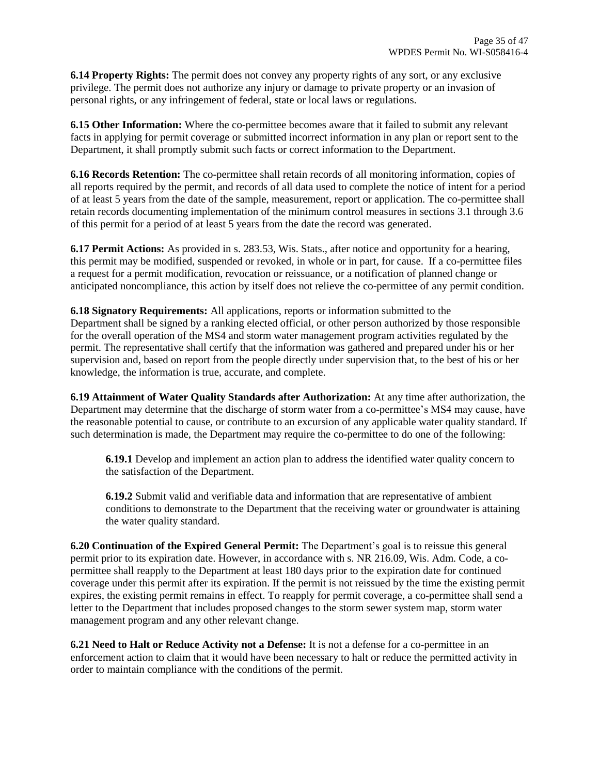**6.14 Property Rights:** The permit does not convey any property rights of any sort, or any exclusive privilege. The permit does not authorize any injury or damage to private property or an invasion of personal rights, or any infringement of federal, state or local laws or regulations.

**6.15 Other Information:** Where the co-permittee becomes aware that it failed to submit any relevant facts in applying for permit coverage or submitted incorrect information in any plan or report sent to the Department, it shall promptly submit such facts or correct information to the Department.

**6.16 Records Retention:** The co-permittee shall retain records of all monitoring information, copies of all reports required by the permit, and records of all data used to complete the notice of intent for a period of at least 5 years from the date of the sample, measurement, report or application. The co-permittee shall retain records documenting implementation of the minimum control measures in sections 3.1 through 3.6 of this permit for a period of at least 5 years from the date the record was generated.

**6.17 Permit Actions:** As provided in s. 283.53, Wis. Stats., after notice and opportunity for a hearing, this permit may be modified, suspended or revoked, in whole or in part, for cause. If a co-permittee files a request for a permit modification, revocation or reissuance, or a notification of planned change or anticipated noncompliance, this action by itself does not relieve the co-permittee of any permit condition.

**6.18 Signatory Requirements:** All applications, reports or information submitted to the Department shall be signed by a ranking elected official, or other person authorized by those responsible for the overall operation of the MS4 and storm water management program activities regulated by the permit. The representative shall certify that the information was gathered and prepared under his or her supervision and, based on report from the people directly under supervision that, to the best of his or her knowledge, the information is true, accurate, and complete.

**6.19 Attainment of Water Quality Standards after Authorization:** At any time after authorization, the Department may determine that the discharge of storm water from a co-permittee's MS4 may cause, have the reasonable potential to cause, or contribute to an excursion of any applicable water quality standard. If such determination is made, the Department may require the co-permittee to do one of the following:

**6.19.1** Develop and implement an action plan to address the identified water quality concern to the satisfaction of the Department.

**6.19.2** Submit valid and verifiable data and information that are representative of ambient conditions to demonstrate to the Department that the receiving water or groundwater is attaining the water quality standard.

**6.20 Continuation of the Expired General Permit:** The Department's goal is to reissue this general permit prior to its expiration date. However, in accordance with s. NR 216.09, Wis. Adm. Code, a copermittee shall reapply to the Department at least 180 days prior to the expiration date for continued coverage under this permit after its expiration. If the permit is not reissued by the time the existing permit expires, the existing permit remains in effect. To reapply for permit coverage, a co-permittee shall send a letter to the Department that includes proposed changes to the storm sewer system map, storm water management program and any other relevant change.

**6.21 Need to Halt or Reduce Activity not a Defense:** It is not a defense for a co-permittee in an enforcement action to claim that it would have been necessary to halt or reduce the permitted activity in order to maintain compliance with the conditions of the permit.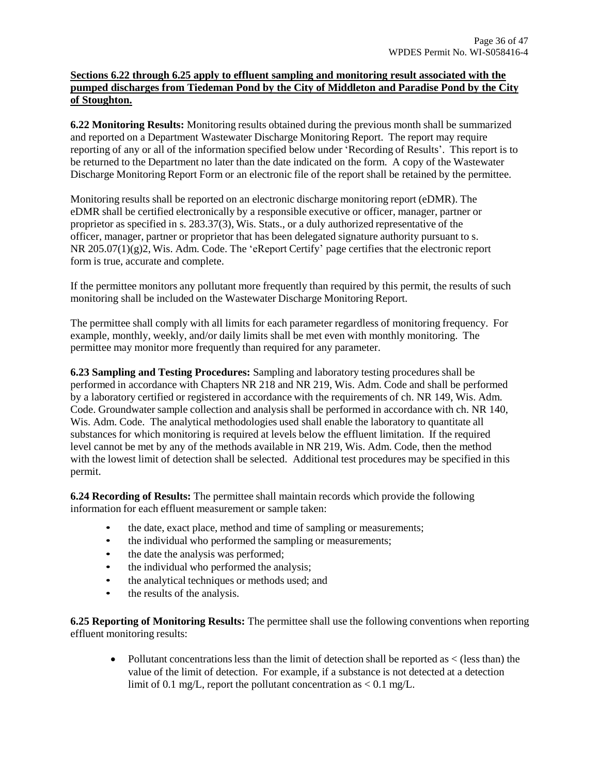### **Sections 6.22 through 6.25 apply to effluent sampling and monitoring result associated with the pumped discharges from Tiedeman Pond by the City of Middleton and Paradise Pond by the City of Stoughton.**

**6.22 Monitoring Results:** Monitoring results obtained during the previous month shall be summarized and reported on a Department Wastewater Discharge Monitoring Report. The report may require reporting of any or all of the information specified below under 'Recording of Results'. This report is to be returned to the Department no later than the date indicated on the form. A copy of the Wastewater Discharge Monitoring Report Form or an electronic file of the report shall be retained by the permittee.

Monitoring results shall be reported on an electronic discharge monitoring report (eDMR). The eDMR shall be certified electronically by a responsible executive or officer, manager, partner or proprietor as specified in s. 283.37(3), Wis. Stats., or a duly authorized representative of the officer, manager, partner or proprietor that has been delegated signature authority pursuant to s. NR 205.07(1)(g)2, Wis. Adm. Code. The 'eReport Certify' page certifies that the electronic report form is true, accurate and complete.

If the permittee monitors any pollutant more frequently than required by this permit, the results of such monitoring shall be included on the Wastewater Discharge Monitoring Report.

The permittee shall comply with all limits for each parameter regardless of monitoring frequency. For example, monthly, weekly, and/or daily limits shall be met even with monthly monitoring. The permittee may monitor more frequently than required for any parameter.

**6.23 Sampling and Testing Procedures:** Sampling and laboratory testing procedures shall be performed in accordance with Chapters NR 218 and NR 219, Wis. Adm. Code and shall be performed by a laboratory certified or registered in accordance with the requirements of ch. NR 149, Wis. Adm. Code. Groundwater sample collection and analysis shall be performed in accordance with ch. NR 140, Wis. Adm. Code. The analytical methodologies used shall enable the laboratory to quantitate all substances for which monitoring is required at levels below the effluent limitation. If the required level cannot be met by any of the methods available in NR 219, Wis. Adm. Code, then the method with the lowest limit of detection shall be selected. Additional test procedures may be specified in this permit.

**6.24 Recording of Results:** The permittee shall maintain records which provide the following information for each effluent measurement or sample taken:

- the date, exact place, method and time of sampling or measurements;
- the individual who performed the sampling or measurements;
- the date the analysis was performed;
- the individual who performed the analysis;
- the analytical techniques or methods used; and
- the results of the analysis.

**6.25 Reporting of Monitoring Results:** The permittee shall use the following conventions when reporting effluent monitoring results:

• Pollutant concentrations less than the limit of detection shall be reported as  $\lt$  (less than) the value of the limit of detection. For example, if a substance is not detected at a detection limit of 0.1 mg/L, report the pollutant concentration as  $< 0.1$  mg/L.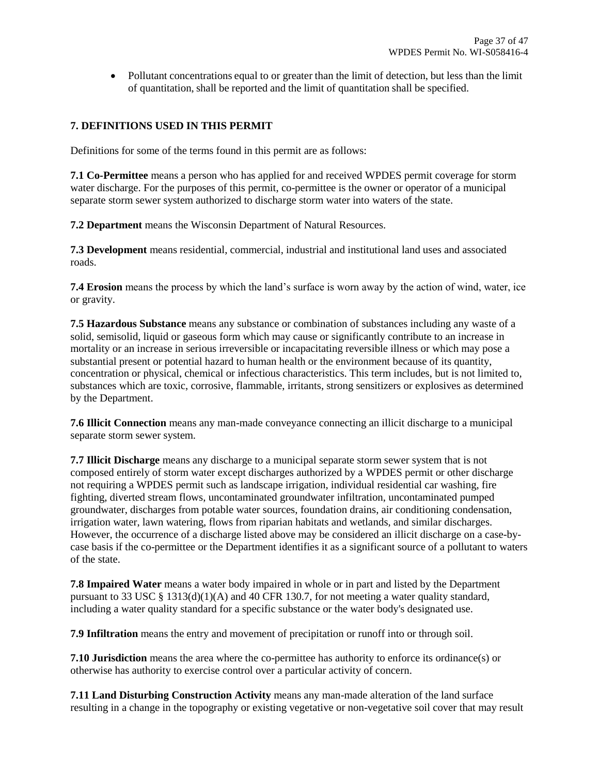• Pollutant concentrations equal to or greater than the limit of detection, but less than the limit of quantitation, shall be reported and the limit of quantitation shall be specified.

# **7. DEFINITIONS USED IN THIS PERMIT**

Definitions for some of the terms found in this permit are as follows:

**7.1 Co-Permittee** means a person who has applied for and received WPDES permit coverage for storm water discharge. For the purposes of this permit, co-permittee is the owner or operator of a municipal separate storm sewer system authorized to discharge storm water into waters of the state.

**7.2 Department** means the Wisconsin Department of Natural Resources.

**7.3 Development** means residential, commercial, industrial and institutional land uses and associated roads.

**7.4 Erosion** means the process by which the land's surface is worn away by the action of wind, water, ice or gravity.

**7.5 Hazardous Substance** means any substance or combination of substances including any waste of a solid, semisolid, liquid or gaseous form which may cause or significantly contribute to an increase in mortality or an increase in serious irreversible or incapacitating reversible illness or which may pose a substantial present or potential hazard to human health or the environment because of its quantity, concentration or physical, chemical or infectious characteristics. This term includes, but is not limited to, substances which are toxic, corrosive, flammable, irritants, strong sensitizers or explosives as determined by the Department.

**7.6 Illicit Connection** means any man-made conveyance connecting an illicit discharge to a municipal separate storm sewer system.

**7.7 Illicit Discharge** means any discharge to a municipal separate storm sewer system that is not composed entirely of storm water except discharges authorized by a WPDES permit or other discharge not requiring a WPDES permit such as landscape irrigation, individual residential car washing, fire fighting, diverted stream flows, uncontaminated groundwater infiltration, uncontaminated pumped groundwater, discharges from potable water sources, foundation drains, air conditioning condensation, irrigation water, lawn watering, flows from riparian habitats and wetlands, and similar discharges. However, the occurrence of a discharge listed above may be considered an illicit discharge on a case-bycase basis if the co-permittee or the Department identifies it as a significant source of a pollutant to waters of the state.

**7.8 Impaired Water** means a water body impaired in whole or in part and listed by the Department pursuant to 33 USC  $\S$  1313(d)(1)(A) and [40](https://docs.legis.wisconsin.gov/document/usc/33%20USC%2040) CFR 130.7, for not meeting a water quality standard, including a water quality standard for a specific substance or the water body's designated use.

**7.9 Infiltration** means the entry and movement of precipitation or runoff into or through soil.

**7.10 Jurisdiction** means the area where the co-permittee has authority to enforce its ordinance(s) or otherwise has authority to exercise control over a particular activity of concern.

**7.11 Land Disturbing Construction Activity** means any man-made alteration of the land surface resulting in a change in the topography or existing vegetative or non-vegetative soil cover that may result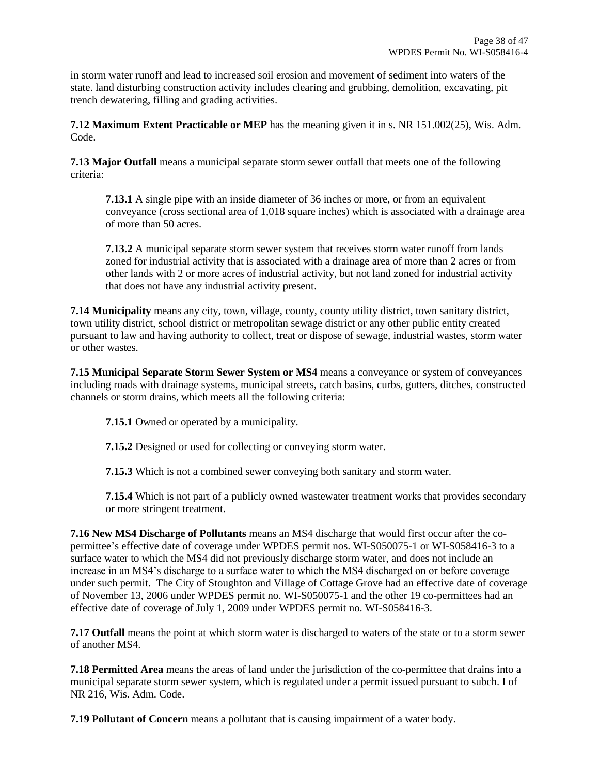in storm water runoff and lead to increased soil erosion and movement of sediment into waters of the state. land disturbing construction activity includes clearing and grubbing, demolition, excavating, pit trench dewatering, filling and grading activities.

**7.12 Maximum Extent Practicable or MEP** has the meaning given it in s. NR 151.002(25), Wis. Adm. Code.

**7.13 Major Outfall** means a municipal separate storm sewer outfall that meets one of the following criteria:

**7.13.1** A single pipe with an inside diameter of 36 inches or more, or from an equivalent conveyance (cross sectional area of 1,018 square inches) which is associated with a drainage area of more than 50 acres.

**7.13.2** A municipal separate storm sewer system that receives storm water runoff from lands zoned for industrial activity that is associated with a drainage area of more than 2 acres or from other lands with 2 or more acres of industrial activity, but not land zoned for industrial activity that does not have any industrial activity present.

**7.14 Municipality** means any city, town, village, county, county utility district, town sanitary district, town utility district, school district or metropolitan sewage district or any other public entity created pursuant to law and having authority to collect, treat or dispose of sewage, industrial wastes, storm water or other wastes.

**7.15 Municipal Separate Storm Sewer System or MS4** means a conveyance or system of conveyances including roads with drainage systems, municipal streets, catch basins, curbs, gutters, ditches, constructed channels or storm drains, which meets all the following criteria:

**7.15.1** Owned or operated by a municipality.

**7.15.2** Designed or used for collecting or conveying storm water.

**7.15.3** Which is not a combined sewer conveying both sanitary and storm water.

**7.15.4** Which is not part of a publicly owned wastewater treatment works that provides secondary or more stringent treatment.

**7.16 New MS4 Discharge of Pollutants** means an MS4 discharge that would first occur after the copermittee's effective date of coverage under WPDES permit nos. WI-S050075-1 or WI-S058416-3 to a surface water to which the MS4 did not previously discharge storm water, and does not include an increase in an MS4's discharge to a surface water to which the MS4 discharged on or before coverage under such permit. The City of Stoughton and Village of Cottage Grove had an effective date of coverage of November 13, 2006 under WPDES permit no. WI-S050075-1 and the other 19 co-permittees had an effective date of coverage of July 1, 2009 under WPDES permit no. WI-S058416-3.

**7.17 Outfall** means the point at which storm water is discharged to waters of the state or to a storm sewer of another MS4.

**7.18 Permitted Area** means the areas of land under the jurisdiction of the co-permittee that drains into a municipal separate storm sewer system, which is regulated under a permit issued pursuant to subch. I of NR 216, Wis. Adm. Code.

**7.19 Pollutant of Concern** means a pollutant that is causing impairment of a water body.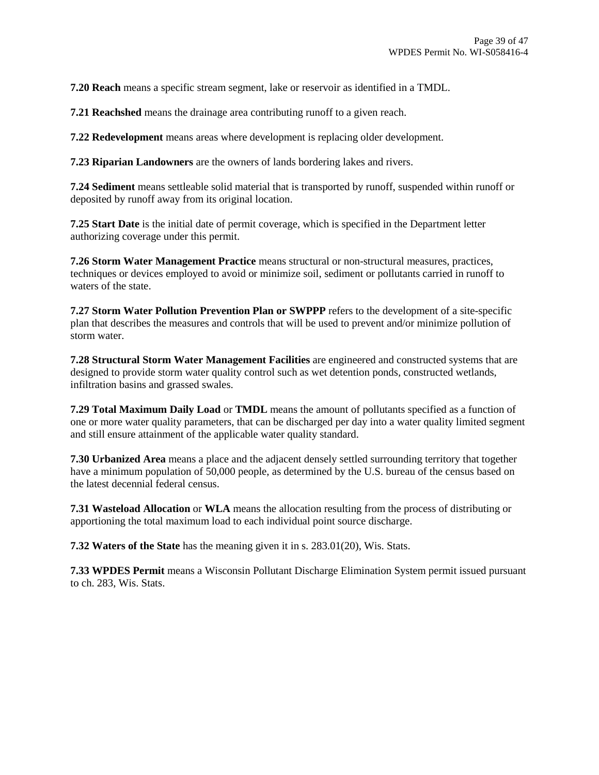**7.20 Reach** means a specific stream segment, lake or reservoir as identified in a TMDL.

**7.21 Reachshed** means the drainage area contributing runoff to a given reach.

**7.22 Redevelopment** means areas where development is replacing older development.

**7.23 Riparian Landowners** are the owners of lands bordering lakes and rivers.

**7.24 Sediment** means settleable solid material that is transported by runoff, suspended within runoff or deposited by runoff away from its original location.

**7.25 Start Date** is the initial date of permit coverage, which is specified in the Department letter authorizing coverage under this permit.

**7.26 Storm Water Management Practice** means structural or non-structural measures, practices, techniques or devices employed to avoid or minimize soil, sediment or pollutants carried in runoff to waters of the state.

**7.27 Storm Water Pollution Prevention Plan or SWPPP** refers to the development of a site-specific plan that describes the measures and controls that will be used to prevent and/or minimize pollution of storm water.

**7.28 Structural Storm Water Management Facilities** are engineered and constructed systems that are designed to provide storm water quality control such as wet detention ponds, constructed wetlands, infiltration basins and grassed swales.

**7.29 Total Maximum Daily Load** or **TMDL** means the amount of pollutants specified as a function of one or more water quality parameters, that can be discharged per day into a water quality limited segment and still ensure attainment of the applicable water quality standard.

**7.30 Urbanized Area** means a place and the adjacent densely settled surrounding territory that together have a minimum population of 50,000 people, as determined by the U.S. bureau of the census based on the latest decennial federal census.

**7.31 Wasteload Allocation** or **WLA** means the allocation resulting from the process of distributing or apportioning the total maximum load to each individual point source discharge.

**7.32 Waters of the State** has the meaning given it in s. 283.01(20), Wis. Stats.

**7.33 WPDES Permit** means a Wisconsin Pollutant Discharge Elimination System permit issued pursuant to ch. 283, Wis. Stats.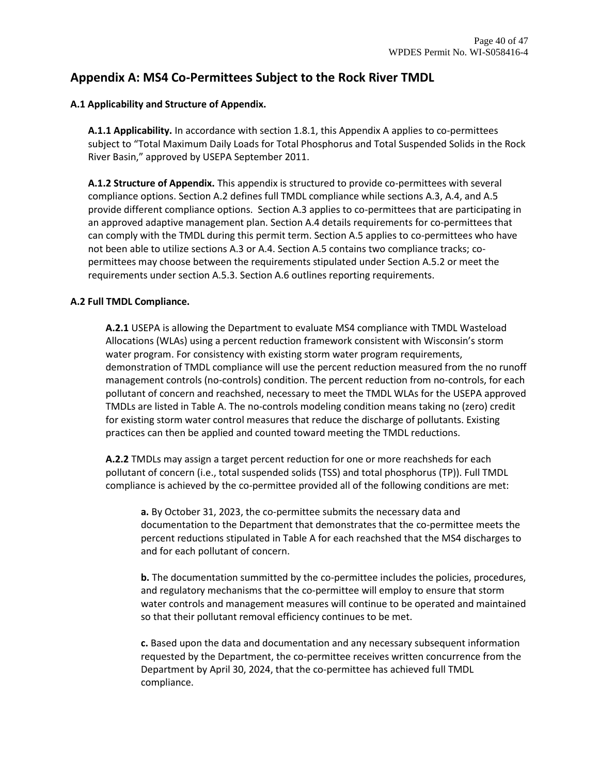# **Appendix A: MS4 Co-Permittees Subject to the Rock River TMDL**

## **A.1 Applicability and Structure of Appendix.**

**A.1.1 Applicability.** In accordance with section 1.8.1, this Appendix A applies to co-permittees subject to "Total Maximum Daily Loads for Total Phosphorus and Total Suspended Solids in the Rock River Basin," approved by USEPA September 2011.

**A.1.2 Structure of Appendix.** This appendix is structured to provide co-permittees with several compliance options. Section A.2 defines full TMDL compliance while sections A.3, A.4, and A.5 provide different compliance options. Section A.3 applies to co-permittees that are participating in an approved adaptive management plan. Section A.4 details requirements for co-permittees that can comply with the TMDL during this permit term. Section A.5 applies to co-permittees who have not been able to utilize sections A.3 or A.4. Section A.5 contains two compliance tracks; copermittees may choose between the requirements stipulated under Section A.5.2 or meet the requirements under section A.5.3. Section A.6 outlines reporting requirements.

## **A.2 Full TMDL Compliance.**

**A.2.1** USEPA is allowing the Department to evaluate MS4 compliance with TMDL Wasteload Allocations (WLAs) using a percent reduction framework consistent with Wisconsin's storm water program. For consistency with existing storm water program requirements, demonstration of TMDL compliance will use the percent reduction measured from the no runoff management controls (no-controls) condition. The percent reduction from no-controls, for each pollutant of concern and reachshed, necessary to meet the TMDL WLAs for the USEPA approved TMDLs are listed in Table A. The no-controls modeling condition means taking no (zero) credit for existing storm water control measures that reduce the discharge of pollutants. Existing practices can then be applied and counted toward meeting the TMDL reductions.

**A.2.2** TMDLs may assign a target percent reduction for one or more reachsheds for each pollutant of concern (i.e., total suspended solids (TSS) and total phosphorus (TP)). Full TMDL compliance is achieved by the co-permittee provided all of the following conditions are met:

**a.** By October 31, 2023, the co-permittee submits the necessary data and documentation to the Department that demonstrates that the co-permittee meets the percent reductions stipulated in Table A for each reachshed that the MS4 discharges to and for each pollutant of concern.

**b.** The documentation summitted by the co-permittee includes the policies, procedures, and regulatory mechanisms that the co-permittee will employ to ensure that storm water controls and management measures will continue to be operated and maintained so that their pollutant removal efficiency continues to be met.

**c.** Based upon the data and documentation and any necessary subsequent information requested by the Department, the co-permittee receives written concurrence from the Department by April 30, 2024, that the co-permittee has achieved full TMDL compliance.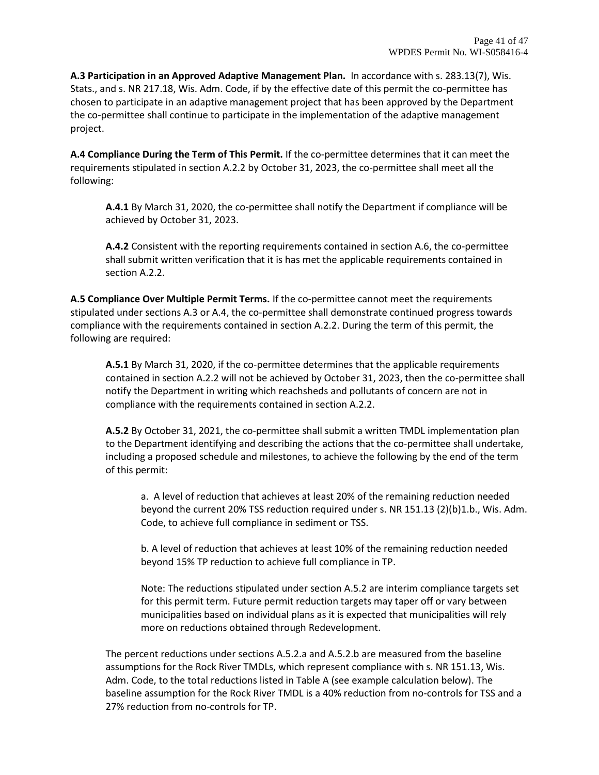**A.3 Participation in an Approved Adaptive Management Plan.** In accordance with s. 283.13(7), Wis. Stats., and s. NR 217.18, Wis. Adm. Code, if by the effective date of this permit the co-permittee has chosen to participate in an adaptive management project that has been approved by the Department the co-permittee shall continue to participate in the implementation of the adaptive management project.

**A.4 Compliance During the Term of This Permit.** If the co-permittee determines that it can meet the requirements stipulated in section A.2.2 by October 31, 2023, the co-permittee shall meet all the following:

**A.4.1** By March 31, 2020, the co-permittee shall notify the Department if compliance will be achieved by October 31, 2023.

**A.4.2** Consistent with the reporting requirements contained in section A.6, the co-permittee shall submit written verification that it is has met the applicable requirements contained in section A.2.2.

**A.5 Compliance Over Multiple Permit Terms.** If the co-permittee cannot meet the requirements stipulated under sections A.3 or A.4, the co-permittee shall demonstrate continued progress towards compliance with the requirements contained in section A.2.2. During the term of this permit, the following are required:

**A.5.1** By March 31, 2020, if the co-permittee determines that the applicable requirements contained in section A.2.2 will not be achieved by October 31, 2023, then the co-permittee shall notify the Department in writing which reachsheds and pollutants of concern are not in compliance with the requirements contained in section A.2.2.

**A.5.2** By October 31, 2021, the co-permittee shall submit a written TMDL implementation plan to the Department identifying and describing the actions that the co-permittee shall undertake, including a proposed schedule and milestones, to achieve the following by the end of the term of this permit:

a. A level of reduction that achieves at least 20% of the remaining reduction needed beyond the current 20% TSS reduction required under s. NR 151.13 (2)(b)1.b., Wis. Adm. Code, to achieve full compliance in sediment or TSS.

b. A level of reduction that achieves at least 10% of the remaining reduction needed beyond 15% TP reduction to achieve full compliance in TP.

Note: The reductions stipulated under section A.5.2 are interim compliance targets set for this permit term. Future permit reduction targets may taper off or vary between municipalities based on individual plans as it is expected that municipalities will rely more on reductions obtained through Redevelopment.

The percent reductions under sections A.5.2.a and A.5.2.b are measured from the baseline assumptions for the Rock River TMDLs, which represent compliance with s. NR 151.13, Wis. Adm. Code, to the total reductions listed in Table A (see example calculation below). The baseline assumption for the Rock River TMDL is a 40% reduction from no-controls for TSS and a 27% reduction from no-controls for TP.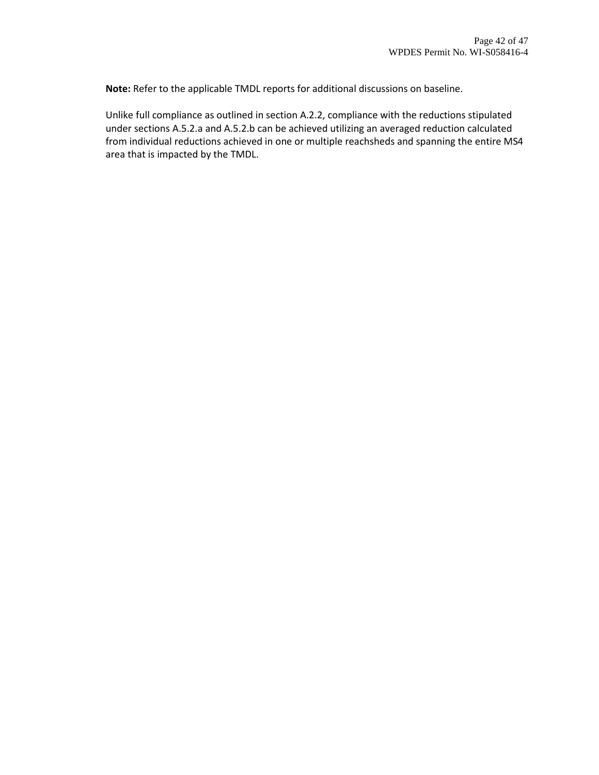**Note:** Refer to the applicable TMDL reports for additional discussions on baseline.

Unlike full compliance as outlined in section A.2.2, compliance with the reductions stipulated under sections A.5.2.a and A.5.2.b can be achieved utilizing an averaged reduction calculated from individual reductions achieved in one or multiple reachsheds and spanning the entire MS4 area that is impacted by the TMDL.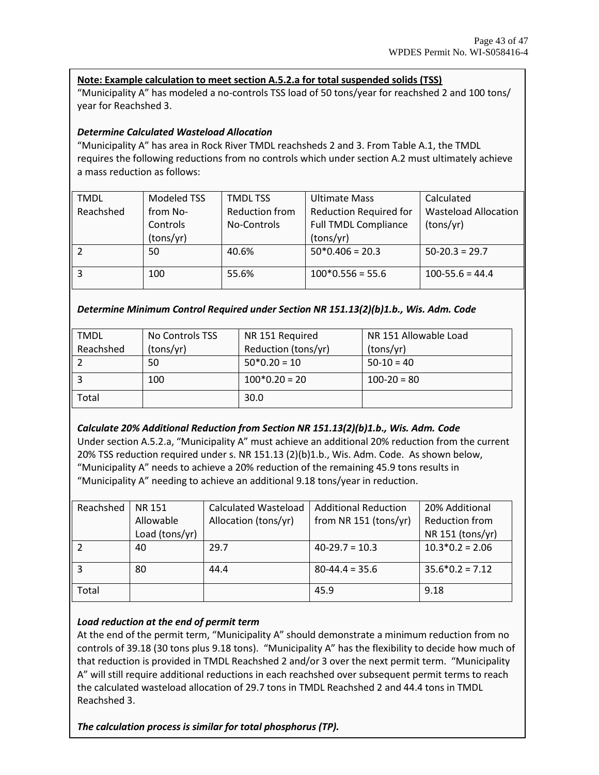## **Note: Example calculation to meet section A.5.2.a for total suspended solids (TSS)**

"Municipality A" has modeled a no-controls TSS load of 50 tons/year for reachshed 2 and 100 tons/ year for Reachshed 3.

## *Determine Calculated Wasteload Allocation*

"Municipality A" has area in Rock River TMDL reachsheds 2 and 3. From Table A.1, the TMDL requires the following reductions from no controls which under section A.2 must ultimately achieve a mass reduction as follows:

| <b>TMDL</b> | Modeled TSS | <b>TMDL TSS</b> | <b>Ultimate Mass</b>          | Calculated                  |
|-------------|-------------|-----------------|-------------------------------|-----------------------------|
| Reachshed   | from No-    | Reduction from  | <b>Reduction Required for</b> | <b>Wasteload Allocation</b> |
|             | Controls    | No-Controls     | <b>Full TMDL Compliance</b>   | (tons/yr)                   |
|             | (tons/yr)   |                 | (tons/yr)                     |                             |
|             | 50          | 40.6%           | $50*0.406 = 20.3$             | $50-20.3 = 29.7$            |
| 3           | 100         | 55.6%           | $100*0.556 = 55.6$            | $100 - 55.6 = 44.4$         |

*Determine Minimum Control Required under Section NR 151.13(2)(b)1.b., Wis. Adm. Code*

| <b>TMDL</b> | No Controls TSS | NR 151 Required     | NR 151 Allowable Load |
|-------------|-----------------|---------------------|-----------------------|
| Reachshed   | (tons/yr)       | Reduction (tons/yr) | (tons/yr)             |
|             | 50              | $50*0.20 = 10$      | $50-10 = 40$          |
|             | 100             | $100*0.20 = 20$     | $100 - 20 = 80$       |
| Total       |                 | 30.0                |                       |

#### *Calculate 20% Additional Reduction from Section NR 151.13(2)(b)1.b., Wis. Adm. Code*

Under section A.5.2.a, "Municipality A" must achieve an additional 20% reduction from the current 20% TSS reduction required under s. NR 151.13 (2)(b)1.b., Wis. Adm. Code. As shown below, "Municipality A" needs to achieve a 20% reduction of the remaining 45.9 tons results in "Municipality A" needing to achieve an additional 9.18 tons/year in reduction.

| Reachshed | <b>NR 151</b>  | Calculated Wasteload | <b>Additional Reduction</b> | 20% Additional        |
|-----------|----------------|----------------------|-----------------------------|-----------------------|
|           | Allowable      | Allocation (tons/yr) | from NR 151 (tons/yr)       | <b>Reduction from</b> |
|           | Load (tons/yr) |                      |                             | NR 151 (tons/yr)      |
|           | 40             | 29.7                 | $40-29.7 = 10.3$            | $10.3*0.2 = 2.06$     |
|           | 80             | 44.4                 | $80-44.4 = 35.6$            | $35.6*0.2 = 7.12$     |
| Total     |                |                      | 45.9                        | 9.18                  |

#### *Load reduction at the end of permit term*

At the end of the permit term, "Municipality A" should demonstrate a minimum reduction from no controls of 39.18 (30 tons plus 9.18 tons). "Municipality A" has the flexibility to decide how much of that reduction is provided in TMDL Reachshed 2 and/or 3 over the next permit term. "Municipality A" will still require additional reductions in each reachshed over subsequent permit terms to reach the calculated wasteload allocation of 29.7 tons in TMDL Reachshed 2 and 44.4 tons in TMDL Reachshed 3.

*The calculation process is similar for total phosphorus (TP).*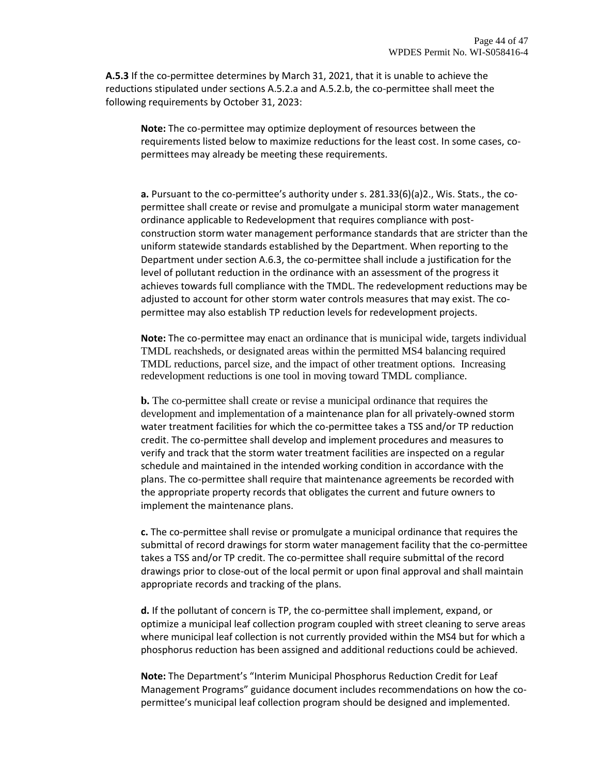**A.5.3** If the co-permittee determines by March 31, 2021, that it is unable to achieve the reductions stipulated under sections A.5.2.a and A.5.2.b, the co-permittee shall meet the following requirements by October 31, 2023:

**Note:** The co-permittee may optimize deployment of resources between the requirements listed below to maximize reductions for the least cost. In some cases, copermittees may already be meeting these requirements.

**a.** Pursuant to the co-permittee's authority under s. 281.33(6)(a)2., Wis. Stats., the copermittee shall create or revise and promulgate a municipal storm water management ordinance applicable to Redevelopment that requires compliance with postconstruction storm water management performance standards that are stricter than the uniform statewide standards established by the Department. When reporting to the Department under section A.6.3, the co-permittee shall include a justification for the level of pollutant reduction in the ordinance with an assessment of the progress it achieves towards full compliance with the TMDL. The redevelopment reductions may be adjusted to account for other storm water controls measures that may exist. The copermittee may also establish TP reduction levels for redevelopment projects.

**Note:** The co-permittee may enact an ordinance that is municipal wide, targets individual TMDL reachsheds, or designated areas within the permitted MS4 balancing required TMDL reductions, parcel size, and the impact of other treatment options. Increasing redevelopment reductions is one tool in moving toward TMDL compliance.

**b.** The co-permittee shall create or revise a municipal ordinance that requires the development and implementation of a maintenance plan for all privately-owned storm water treatment facilities for which the co-permittee takes a TSS and/or TP reduction credit. The co-permittee shall develop and implement procedures and measures to verify and track that the storm water treatment facilities are inspected on a regular schedule and maintained in the intended working condition in accordance with the plans. The co-permittee shall require that maintenance agreements be recorded with the appropriate property records that obligates the current and future owners to implement the maintenance plans.

**c.** The co-permittee shall revise or promulgate a municipal ordinance that requires the submittal of record drawings for storm water management facility that the co-permittee takes a TSS and/or TP credit. The co-permittee shall require submittal of the record drawings prior to close-out of the local permit or upon final approval and shall maintain appropriate records and tracking of the plans.

**d.** If the pollutant of concern is TP, the co-permittee shall implement, expand, or optimize a municipal leaf collection program coupled with street cleaning to serve areas where municipal leaf collection is not currently provided within the MS4 but for which a phosphorus reduction has been assigned and additional reductions could be achieved.

**Note:** The Department's "Interim Municipal Phosphorus Reduction Credit for Leaf Management Programs" guidance document includes recommendations on how the copermittee's municipal leaf collection program should be designed and implemented.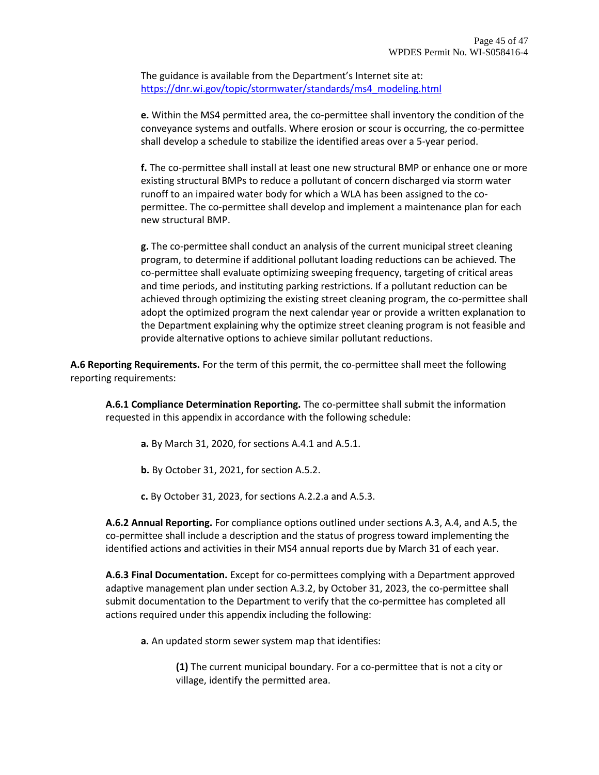The guidance is available from the Department's Internet site at: [https://dnr.wi.gov/topic/stormwater/standards/ms4\\_modeling.html](https://dnr.wi.gov/topic/stormwater/standards/ms4_modeling.html)

**e.** Within the MS4 permitted area, the co-permittee shall inventory the condition of the conveyance systems and outfalls. Where erosion or scour is occurring, the co-permittee shall develop a schedule to stabilize the identified areas over a 5-year period.

**f.** The co-permittee shall install at least one new structural BMP or enhance one or more existing structural BMPs to reduce a pollutant of concern discharged via storm water runoff to an impaired water body for which a WLA has been assigned to the copermittee. The co-permittee shall develop and implement a maintenance plan for each new structural BMP.

**g.** The co-permittee shall conduct an analysis of the current municipal street cleaning program, to determine if additional pollutant loading reductions can be achieved. The co-permittee shall evaluate optimizing sweeping frequency, targeting of critical areas and time periods, and instituting parking restrictions. If a pollutant reduction can be achieved through optimizing the existing street cleaning program, the co-permittee shall adopt the optimized program the next calendar year or provide a written explanation to the Department explaining why the optimize street cleaning program is not feasible and provide alternative options to achieve similar pollutant reductions.

**A.6 Reporting Requirements.** For the term of this permit, the co-permittee shall meet the following reporting requirements:

**A.6.1 Compliance Determination Reporting.** The co-permittee shall submit the information requested in this appendix in accordance with the following schedule:

- **a.** By March 31, 2020, for sections A.4.1 and A.5.1.
- **b.** By October 31, 2021, for section A.5.2.
- **c.** By October 31, 2023, for sections A.2.2.a and A.5.3.

**A.6.2 Annual Reporting.** For compliance options outlined under sections A.3, A.4, and A.5, the co-permittee shall include a description and the status of progress toward implementing the identified actions and activities in their MS4 annual reports due by March 31 of each year.

**A.6.3 Final Documentation.** Except for co-permittees complying with a Department approved adaptive management plan under section A.3.2, by October 31, 2023, the co-permittee shall submit documentation to the Department to verify that the co-permittee has completed all actions required under this appendix including the following:

**a.** An updated storm sewer system map that identifies:

**(1)** The current municipal boundary. For a co-permittee that is not a city or village, identify the permitted area.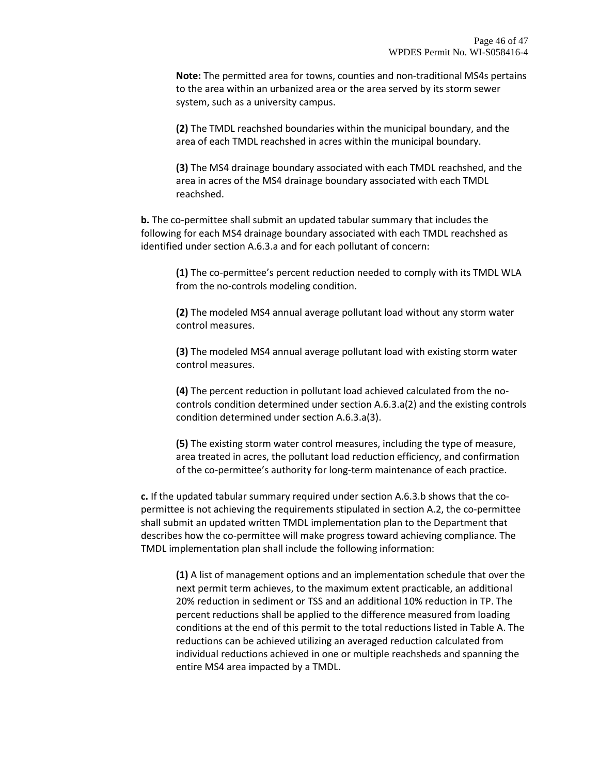**Note:** The permitted area for towns, counties and non-traditional MS4s pertains to the area within an urbanized area or the area served by its storm sewer system, such as a university campus.

**(2)** The TMDL reachshed boundaries within the municipal boundary, and the area of each TMDL reachshed in acres within the municipal boundary.

**(3)** The MS4 drainage boundary associated with each TMDL reachshed, and the area in acres of the MS4 drainage boundary associated with each TMDL reachshed.

**b.** The co-permittee shall submit an updated tabular summary that includes the following for each MS4 drainage boundary associated with each TMDL reachshed as identified under section A.6.3.a and for each pollutant of concern:

**(1)** The co-permittee's percent reduction needed to comply with its TMDL WLA from the no-controls modeling condition.

**(2)** The modeled MS4 annual average pollutant load without any storm water control measures.

**(3)** The modeled MS4 annual average pollutant load with existing storm water control measures.

**(4)** The percent reduction in pollutant load achieved calculated from the nocontrols condition determined under section A.6.3.a(2) and the existing controls condition determined under section A.6.3.a(3).

**(5)** The existing storm water control measures, including the type of measure, area treated in acres, the pollutant load reduction efficiency, and confirmation of the co-permittee's authority for long-term maintenance of each practice.

**c.** If the updated tabular summary required under section A.6.3.b shows that the copermittee is not achieving the requirements stipulated in section A.2, the co-permittee shall submit an updated written TMDL implementation plan to the Department that describes how the co-permittee will make progress toward achieving compliance. The TMDL implementation plan shall include the following information:

**(1)** A list of management options and an implementation schedule that over the next permit term achieves, to the maximum extent practicable, an additional 20% reduction in sediment or TSS and an additional 10% reduction in TP. The percent reductions shall be applied to the difference measured from loading conditions at the end of this permit to the total reductions listed in Table A. The reductions can be achieved utilizing an averaged reduction calculated from individual reductions achieved in one or multiple reachsheds and spanning the entire MS4 area impacted by a TMDL.